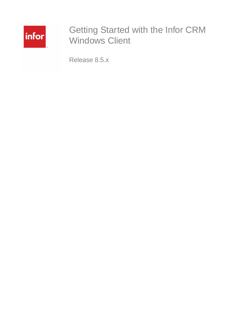

# Getting Started with the Infor CRM Windows Client

Release 8.5.x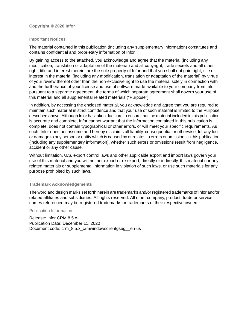#### **Copyright © 2020 Infor**

#### **Important Notices**

The material contained in this publication (including any supplementary information) constitutes and contains confidential and proprietary information of Infor.

By gaining access to the attached, you acknowledge and agree that the material (including any modification, translation or adaptation of the material) and all copyright, trade secrets and all other right, title and interest therein, are the sole property of Infor and that you shall not gain right, title or interest in the material (including any modification, translation or adaptation of the material) by virtue of your review thereof other than the non-exclusive right to use the material solely in connection with and the furtherance of your license and use of software made available to your company from Infor pursuant to a separate agreement, the terms of which separate agreement shall govern your use of this material and all supplemental related materials ("Purpose").

In addition, by accessing the enclosed material, you acknowledge and agree that you are required to maintain such material in strict confidence and that your use of such material is limited to the Purpose described above. Although Infor has taken due care to ensure that the material included in this publication is accurate and complete, Infor cannot warrant that the information contained in this publication is complete, does not contain typographical or other errors, or will meet your specific requirements. As such, Infor does not assume and hereby disclaims all liability, consequential or otherwise, for any loss or damage to any person or entity which is caused by or relates to errors or omissions in this publication (including any supplementary information), whether such errors or omissions result from negligence, accident or any other cause.

Without limitation, U.S. export control laws and other applicable export and import laws govern your use of this material and you will neither export or re-export, directly or indirectly, this material nor any related materials or supplemental information in violation of such laws, or use such materials for any purpose prohibited by such laws.

#### **Trademark Acknowledgements**

The word and design marks set forth herein are trademarks and/or registered trademarks of Infor and/or related affiliates and subsidiaries. All rights reserved. All other company, product, trade or service names referenced may be registered trademarks or trademarks of their respective owners.

#### Publication Information

Release: Infor CRM 8.5.x Publication Date: December 11, 2020 Document code: crm\_8.5.x\_crmwindowsclientgsug\_\_en-us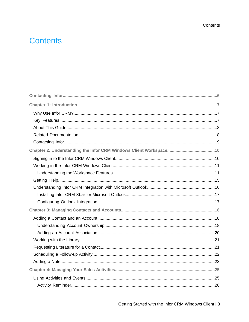## **Contents**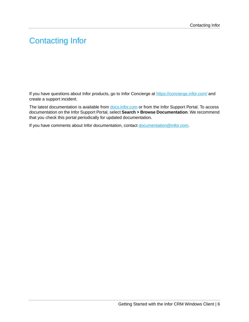# <span id="page-5-0"></span>Contacting Infor

If you have questions about Infor products, go to Infor Concierge at <https://concierge.infor.com/> and create a support incident.

The latest documentation is available from **[docs.infor.com](https://docs.infor.com/)** or from the Infor Support Portal. To access documentation on the Infor Support Portal, select **Search > Browse Documentation**. We recommend that you check this portal periodically for updated documentation.

If you have comments about Infor documentation, contact [documentation@infor.com](mailto:documentation@infor.com).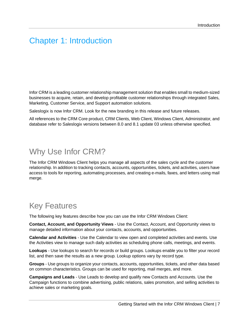#### <span id="page-6-0"></span>Chapter 1: Introduction

Infor CRM is a leading customer relationship management solution that enables small to medium-sized businesses to acquire, retain, and develop profitable customer relationships through integrated Sales, Marketing, Customer Service, and Support automation solutions.

Saleslogix is now Infor CRM. Look for the new branding in this release and future releases.

All references to the CRM Core product, CRM Clients, Web Client, Windows Client, Administrator, and database refer to Saleslogix versions between 8.0 and 8.1 update 03 unless otherwise specified.

#### <span id="page-6-1"></span>Why Use Infor CRM?

The Infor CRM Windows Client helps you manage all aspects of the sales cycle and the customer relationship. In addition to tracking contacts, accounts, opportunities, tickets, and activities, users have access to tools for reporting, automating processes, and creating e-mails, faxes, and letters using mail merge.

#### <span id="page-6-2"></span>Key Features

The following key features describe how you can use the Infor CRM Windows Client:

**Contact, Account, and Opportunity Views** - Use the Contact, Account, and Opportunity views to manage detailed information about your contacts, accounts, and opportunities.

**Calendar and Activities** - Use the Calendar to view open and completed activities and events. Use the Activities view to manage such daily activities as scheduling phone calls, meetings, and events.

**Lookups** - Use lookups to search for records or build groups. Lookups enable you to filter your record list, and then save the results as a new group. Lookup options vary by record type.

**Groups** - Use groups to organize your contacts, accounts, opportunities, tickets, and other data based on common characteristics. Groups can be used for reporting, mail merges, and more.

**Campaigns and Leads** - Use Leads to develop and qualify new Contacts and Accounts. Use the Campaign functions to combine advertising, public relations, sales promotion, and selling activities to achieve sales or marketing goals.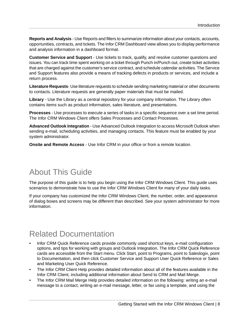**Reports and Analysis** - Use Reports and filters to summarize information about your contacts, accounts, opportunities, contracts, and tickets. The Infor CRM Dashboard view allows you to display performance and analysis information in a dashboard format.

**Customer Service and Support** - Use tickets to track, qualify, and resolve customer questions and issues. You can track time spent working on a ticket through Punch in/Punch out, create ticket activities that are charged against the customer's service contract, and schedule calendar activities. The Service and Support features also provide a means of tracking defects in products or services, and include a return process.

**Literature Requests**- Use literature requests to schedule sending marketing material or other documents to contacts. Literature requests are generally paper materials that must be mailed.

**Library** - Use the Library as a central repository for your company information. The Library often contains items such as product information, sales literature, and presentations.

**Processes** - Use processes to execute a series of tasks in a specific sequence over a set time period. The Infor CRM Windows Client offers Sales Processes and Contact Processes.

**Advanced Outlook Integration** - Use Advanced Outlook Integration to access Microsoft Outlook when sending e-mail, scheduling activities, and managing contacts. This feature must be enabled by your system administrator.

<span id="page-7-0"></span>**Onsite and Remote Access** - Use Infor CRM in your office or from a remote location.

## About This Guide

The purpose of this guide is to help you begin using the Infor CRM Windows Client. This guide uses scenarios to demonstrate how to use the Infor CRM Windows Client for many of your daily tasks.

<span id="page-7-1"></span>If your company has customized the Infor CRM Windows Client, the number, order, and appearance of dialog boxes and screens may be different than described. See your system administrator for more information.

## Related Documentation

- Infor CRM Quick Reference cards provide commonly used shortcut keys, e-mail configuration options, and tips for working with groups and Outlook Integration. The Infor CRM Quick Reference cards are accessible from the Start menu. Click Start, point to Programs, point to Saleslogix, point to Documentation, and then click Customer Service and Support User Quick Reference or Sales and Marketing User Quick Reference.
- The Infor CRM Client Help provides detailed information about all of the features available in the Infor CRM Client, including additional information about Send to CRM and Mail Merge.
- The Infor CRM Mail Merge Help provides detailed information on the following: writing an e-mail message to a contact, writing an e-mail message, letter, or fax using a template, and using the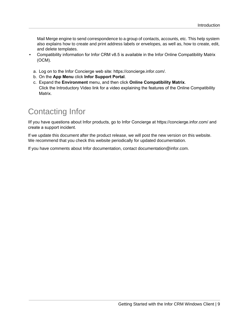Mail Merge engine to send correspondence to a group of contacts, accounts, etc. This help system also explains how to create and print address labels or envelopes, as well as, how to create, edit, and delete templates.

- Compatibility information for Infor CRM v8.5 is available in the Infor Online Compatibility Matrix (OCM).
	- a. Log on to the Infor Concierge web site: https://concierge.infor.com/.
	- b. On the **App Menu** click **Infor Support Portal**.
	- c. Expand the **Environment** menu, and then click **Online Compatibility Matrix**. Click the Introductory Video link for a video explaining the features of the Online Compatibility Matrix.

### <span id="page-8-0"></span>Contacting Infor

IIf you have questions about Infor products, go to Infor Concierge at https://concierge.infor.com/ and create a support incident.

If we update this document after the product release, we will post the new version on this website. We recommend that you check this website periodically for updated documentation.

If you have comments about Infor documentation, contact documentation@infor.com.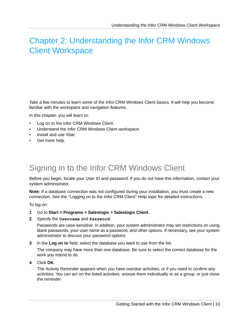## <span id="page-9-0"></span>Chapter 2: Understanding the Infor CRM Windows Client Workspace

Take a few minutes to learn some of the Infor CRM Windows Client basics. It will help you become familiar with the workspace and navigation features.

In this chapter, you will learn to:

- Log on to the Infor CRM Windows Client.
- Understand the Infor CRM Windows Client workspace.
- Install and use Xbar.
- <span id="page-9-1"></span>Get more help.

# Signing in to the Infor CRM Windows Client

Before you begin, locate your User ID and password. If you do not have this information, contact your system administrator.

**Note:** If a database connection was not configured during your installation, you must create a new connection. See the "Logging on to the Infor CRM Client" Help topic for detailed instructions.

To log on:

- **1** Go to **Start > Programs > Saleslogix > Saleslogix Client**.
- **2** Specify the **Username** and **Password**.

Passwords are case-sensitive. In addition, your system administrator may set restrictions on using blank passwords, your user name as a password, and other options. If necessary, see your system administrator to discuss your password options

**3** In the **Log on to** field, select the database you want to use from the list.

The company may have more than one database. Be sure to select the correct database for the work you intend to do.

**4** Click **OK**.

The Activity Reminder appears when you have overdue activities, or if you need to confirm any activities. You can act on the listed activities, snooze them individually or as a group, or just close the reminder.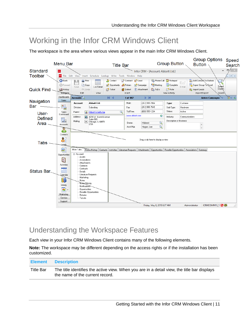## <span id="page-10-0"></span>Working in the Infor CRM Windows Client

The workspace is the area where various views appear in the main Infor CRM Windows Client.



#### <span id="page-10-1"></span>Understanding the Workspace Features

Each view in your Infor CRM Windows Client contains many of the following elements.

**Note:** The workspace may be different depending on the access rights or if the installation has been customized.

| <b>Element</b> | <b>Description</b>                                                                                                             |
|----------------|--------------------------------------------------------------------------------------------------------------------------------|
| Title Bar      | The title identifies the active view. When you are in a detail view, the title bar displays<br>the name of the current record. |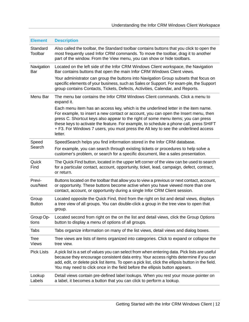| <b>Element</b>              | <b>Description</b>                                                                                                                                                                                                                                                                                                                                                                                                                                        |
|-----------------------------|-----------------------------------------------------------------------------------------------------------------------------------------------------------------------------------------------------------------------------------------------------------------------------------------------------------------------------------------------------------------------------------------------------------------------------------------------------------|
| Standard<br>Toolbar         | Also called the toolbar, the Standard toolbar contains buttons that you click to open the<br>most frequently used Infor CRM commands. To move the toolbar, drag it to another<br>part of the window. From the View menu, you can show or hide toolbars.                                                                                                                                                                                                   |
| Navigation<br>Bar           | Located on the left side of the Infor CRM Windows Client workspace, the Navigation<br>Bar contains buttons that open the main Infor CRM Windows Client views.                                                                                                                                                                                                                                                                                             |
|                             | Your administrator can group the buttons into Navigation Group subsets that focus on<br>specific elements of your business, such as Sales or Support. For exam-ple, the Support<br>group contains Contacts, Tickets, Defects, Activities, Calendar, and Reports.                                                                                                                                                                                          |
| Menu Bar                    | The menu bar contains the Infor CRM Windows Client commands. Click a menu to<br>expand it.                                                                                                                                                                                                                                                                                                                                                                |
|                             | Each menu item has an access key, which is the underlined letter in the item name.<br>For example, to insert a new contact or account, you can open the Insert menu, then<br>press C. Shortcut keys also appear to the right of some menu items; you can press<br>these keys to activate the feature. For example, to schedule a phone call, press SHIFT<br>+ F3. For Windows 7 users, you must press the Alt key to see the underlined access<br>letter. |
| Speed                       | SpeedSearch helps you find information stored in the Infor CRM database.                                                                                                                                                                                                                                                                                                                                                                                  |
| Search                      | For example, you can search through existing tickets or procedures to help solve a<br>customer's problem, or search for a specific document, like a sales presentation.                                                                                                                                                                                                                                                                                   |
| Quick<br>Find               | The Quick Find button, located in the upper left corner of the view can be used to search<br>for a particular contact, account, opportunity, ticket, lead, campaign, defect, contract,<br>or return.                                                                                                                                                                                                                                                      |
| Previ-<br>ous/Next          | Buttons located on the toolbar that allow you to view a previous or next contact, account,<br>or opportunity. These buttons become active when you have viewed more than one<br>contact, account, or opportunity during a single Infor CRM Client session.                                                                                                                                                                                                |
| Group<br><b>Button</b>      | Located opposite the Quick Find, third from the right on list and detail views, displays<br>a tree view of all groups. You can double-click a group in the tree view to open that<br>group.                                                                                                                                                                                                                                                               |
| Group Op-<br>tions          | Located second from right on the on the list and detail views, click the Group Options<br>button to display a menu of options of all groups.                                                                                                                                                                                                                                                                                                              |
| <b>Tabs</b>                 | Tabs organize information on many of the list views, detail views and dialog boxes.                                                                                                                                                                                                                                                                                                                                                                       |
| <b>Tree</b><br><b>Views</b> | Tree views are lists of items organized into categories. Click to expand or collapse the<br>tree view.                                                                                                                                                                                                                                                                                                                                                    |
| <b>Pick Lists</b>           | A pick list is a set of values you can select from when entering data. Pick lists are useful<br>because they encourage consistent data entry. Your access rights determine if you can<br>add, edit, or delete pick list items. To open a pick list, click the ellipsis button in the field.<br>You may need to click once in the field before the ellipsis button appears.                                                                                |
| Lookup<br>Labels            | Detail views contain pre-defined label lookups. When you rest your mouse pointer on<br>a label, it becomes a button that you can click to perform a lookup.                                                                                                                                                                                                                                                                                               |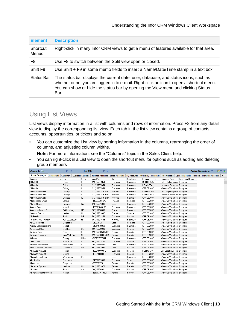| <b>Element</b>           | <b>Description</b>                                                                                                                                                                                                                                                          |
|--------------------------|-----------------------------------------------------------------------------------------------------------------------------------------------------------------------------------------------------------------------------------------------------------------------------|
| Shortcut<br><b>Menus</b> | Right-click in many Infor CRM views to get a menu of features available for that area.                                                                                                                                                                                      |
| F8                       | Use F8 to switch between the Split view open or closed.                                                                                                                                                                                                                     |
| Shift F9                 | Use Shift + F9 in some memo fields to insert a Name/Date/Time stamp in a text box.                                                                                                                                                                                          |
| Status Bar               | The status bar displays the current date, user, database, and status icons, such as<br>whether or not you are logged in to e-mail. Right-click an icon to open a shortcut menu.<br>You can show or hide the status bar by opening the View menu and clicking Status<br>Bar. |

#### Using List Views

List views display information in a list with columns and rows of information. Press F8 from any detail view to display the corresponding list view. Each tab in the list view contains a group of contacts, accounts, opportunities, or tickets and so on.

• You can customize the List view by sorting information in the columns, rearranging the order of columns, and adjusting column widths.

**Note:** For more information, see the "Columns" topic in the Sales Client help.

• You can right-click in a List view to open the shortcut menu for options such as adding and deleting group members

| Accounts <sup>Q</sup>    |              | $\mathbb{N}$    | ◀ | 1 of 987                  | $\triangleright$ $\triangleright$ 1 |                 |             |                       |                               |                |          | Active Campaigns $\heartsuit$ |  |
|--------------------------|--------------|-----------------|---|---------------------------|-------------------------------------|-----------------|-------------|-----------------------|-------------------------------|----------------|----------|-------------------------------|--|
| <b>Active Campaigns</b>  | All Accounts | Customers       |   | <b>Duplicate Suspects</b> | <b>Imported Accounts</b>            | Latest Accounts | My Accounts | My History   My Leads | My Prospects                  | Open Responses | Partners | <b>Promoted Accounts</b>      |  |
| Account                  |              | / City          |   | State                     | Main Phone                          | Type            | Sub-Type    | Campaign Code         | Campaign Name                 | Campaign Owner |          |                               |  |
| Abbott Ltd.              |              | Chicago         |   | IL.                       | (312) 555-7854                      | Customer        | Hardware    | DELLOP345             | Dell Optiplex Specia Everyone |                |          |                               |  |
| Abbott Ltd.              |              | Chicago         |   | IL                        | (312) 555-7854                      | Customer        | Hardware    | LEN0V3542             | Lenovo X Series Intr Everyone |                |          |                               |  |
| Abbott Ltd.              |              | Chicago         |   | IL                        | (312) 555-7854                      | Customer        | Hardware    | OFFICE 2007           | Windows Vista Cony Everyone   |                |          |                               |  |
| Abbott WorldWide         |              | Chicago         |   | IL                        | (312) 555-2791x114                  | Prospect        | Hardware    | DELLOP345             | Dell Optiplex Specia Everyone |                |          |                               |  |
| Abbott WorldWide         |              | Chicago         |   | IL                        | (312) 555-2791x114                  | Prospect        | Hardware    | LEN0V3542             | Lenovo X Series Intr Everyone |                |          |                               |  |
| Abbott WorldWide         |              | Chicago         |   | IL.                       | (312) 555-2791x114                  | Prospect        | Hardware    | OFFICE 2007           | Windows Vista Conv Everyone   |                |          |                               |  |
| Abi Specialty Group      |              | London          |   |                           | +442073384570                       | Prospect        | Software    | OFFICE 2007           | Windows Vista Conv Everyone   |                |          |                               |  |
| Above Marine             |              | Hayward         |   | CA                        | (510) 555-1300                      | Lead            | Hardware    | OFFICE 2007           | Windows Vista Conv Everyone   |                |          |                               |  |
| Access Gmbh              |              | Munich          |   |                           | +498971046155                       | Customer        | Hardware    | OFFICE 2007           | Windows Vista Conv Everyone   |                |          |                               |  |
| Access Industries Co.    |              | Gaithersburg    |   | MD.                       | (301) 555-8880                      | Prospect        | Hardware    | OFFICE 2007           | Windows Vista Cony Everyone   |                |          |                               |  |
| Account Graphics         |              | Linden          |   | NJ.                       | (908) 555-2087                      | Prospect        | Service     | OFFICE 2007           | Windows Vista Cony Everyone   |                |          |                               |  |
| AD Foods                 |              | Portland        |   | 0R                        | (503) 555-1358                      | Customer        | Service     | OFFICE 2007           | Windows Vista Conv Everyone   |                |          |                               |  |
| Adams Waste Systems      |              | Fort Lauderdale |   | FL.                       | (954) 555-8609                      | Prospect        | Hardware    | OFFICE 2007           | Windows Vista Conv Everyone   |                |          |                               |  |
| <b>ADCS</b> Industries   |              | Singapore       |   |                           | +653370321                          | Lead            | Software    | OFFICE 2007           | Windows Vista Conv Everyone   |                |          |                               |  |
| Adicom Communications    |              | Madrid          |   |                           | +34914570955                        | Customer        | Hardware    | OFFICE 2007           | Windows Vista Conv Everyone   |                |          |                               |  |
| Advanced Billing         |              | Markham         |   | <b>ON</b>                 | (905) 555-8992                      | Customer        | Service     | OFFICE 2007           | Windows Vista Conv Everyone   |                |          |                               |  |
| Advising Group           |              | Chicago         |   | IL.                       | (312) 555-8500x630                  | Partner         | Reseller    | OFFICE 2007           | Windows Vista Conv Everyone   |                |          |                               |  |
| Advisors Company         |              | New York City   |   | NY                        | (212) 555-0001x304                  | Partner         | Reseller    | OFFICE 2007           | Windows Vista Conv Everyone   |                |          |                               |  |
| Affiliated               |              | Sydney          |   | <b>NSW</b>                | +610293777044                       | Customer        | Hardware    | OFFICE 2007           | Windows Vista Conv Everyone   |                |          |                               |  |
| Akorn Lines              |              | Scottsdale      |   | ΑZ                        | (602) 555-3260                      | Customer        | Service     | OFFICE 2007           | Windows Vista Cony Everyone   |                |          |                               |  |
| Alcopter Investments     |              | Rock Island     |   | IL.                       | (309) 555-5500                      | Lead            | Hardware    | OFFICE 2007           | Windows Vista Conv Everyone   |                |          |                               |  |
| Alex D. Electric Company |              | Clackamas       |   | 0R                        | (503) 555-4990                      | Lead            | Service     | OFFICE 2007           | Windows Vista Conv Everyone   |                |          |                               |  |
| Alexander Kan Ltd.       |              | Munich          |   |                           | +498945808913                       | Customer        | Service     | DELLOP345             | Dell Optiplex Specia Everyone |                |          |                               |  |
| Alexander Kan Ltd.       |              | Munich          |   |                           | +498945808913                       | Customer        | Service     | OFFICE 2007           | Windows Vista Conv Everyone   |                |          |                               |  |
| Alexander Leathers       |              | Washington      |   | DC                        |                                     | Lead            | Hardware    | OFFICE 2007           | Windows Vista Cony Everyone   |                |          |                               |  |
| Alfa Quality             |              | Barcelona       |   |                           | +34932271003                        | Customer        | Service     | OFFICE 2007           | Windows Vista Conv Everyone   |                |          |                               |  |
| Algonquins               |              | Singapore       |   |                           | +658637279                          | Partner         | Reseller    | OFFICE 2007           | Windows Vista Conv Everyone   |                |          |                               |  |
| Alia Asset Systems       |              | Hudson          |   | <b>NH</b>                 | (603) 555-9970                      | Partner         | Reseller    | OFFICE 2007           | Windows Vista Conv Everyone   |                |          |                               |  |
| All in One               |              | Seattle         |   | WA.                       | (206) 555-6021                      | Customer        | Service     | OFFICE 2007           | Windows Vista Conv Everyone   |                |          |                               |  |
| All Management Products  |              | Munich          |   |                           | +4917173619801                      | Partner         | Reseller    | OFFICE 2007           | Windows Vista Com Everyone    |                |          |                               |  |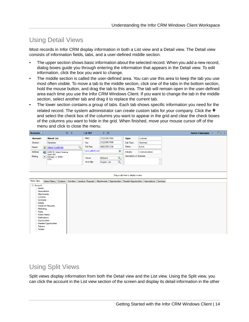#### Using Detail Views

Most records in Infor CRM display information in both a List view and a Detail view. The Detail view consists of information fields, tabs, and a user-defined middle section.

- The upper section shows basic information about the selected record. When you add a new record, dialog boxes guide you through entering the information that appears in the Detail view. To edit information, click the box you want to change.
- The middle section is called the user-defined area. You can use this area to keep the tab you use most often visible. To move a tab to the middle section, click one of the tabs in the bottom section, hold the mouse button, and drag the tab to this area. The tab will remain open in the user-defined area each time you use the Infor CRM Windows Client. If you want to change the tab in the middle section, select another tab and drag it to replace the current tab.
- The lower section contains a group of tabs. Each tab shows specific information you need for the related record. The system administrator can create custom tabs for your company. Click the  $\pm$ and select the check box of the columns you want to appear in the grid and clear the check boxes of the columns you want to hide in the grid. When finished, move your mouse cursor off of the menu and click to close the menu.

| Accounts <sup>Q</sup>                                                                                                                                                                              |                      |                                               |                        | $M$ 4 |   | 1 of 987            | $P$ $N$               |                    |                                   |                                                                                                      |                    | Active Campaigns $\heartsuit$ |  | 留っ 動 |  |
|----------------------------------------------------------------------------------------------------------------------------------------------------------------------------------------------------|----------------------|-----------------------------------------------|------------------------|-------|---|---------------------|-----------------------|--------------------|-----------------------------------|------------------------------------------------------------------------------------------------------|--------------------|-------------------------------|--|------|--|
| Account:                                                                                                                                                                                           |                      | <b>Abbott Ltd.</b>                            |                        |       |   | Main:               | (312) 555-7854        |                    | Type:                             | Customer                                                                                             |                    |                               |  |      |  |
| Division:                                                                                                                                                                                          |                      | Subsidiary                                    |                        |       |   | Fax:                | (312) 555-7545        |                    | Sub-Type:                         | Hardware                                                                                             |                    |                               |  |      |  |
| Parent:                                                                                                                                                                                            |                      | 品 Abbott WorldWide                            |                        |       | Q | Toll Free:          | (800) 555-1234        |                    | Status:                           | Active                                                                                               |                    |                               |  |      |  |
| Address:                                                                                                                                                                                           |                      |                                               | 4206 W. Grand Avenue   |       |   | www.abbott.com      |                       | ۱                  | Industry:                         | Communications                                                                                       |                    |                               |  |      |  |
| Mailing                                                                                                                                                                                            | $\blacktriangledown$ | Suite 900<br>Chicago, IL 60651<br><b>USA</b>  |                        |       |   | Owner:<br>Acct.Mgr: | Midwest<br>Hogan, Lee | $\mathcal{L}$<br>Q | <b>Description of Business</b>    |                                                                                                      | $\wedge$<br>$\vee$ |                               |  |      |  |
|                                                                                                                                                                                                    |                      |                                               |                        |       |   |                     |                       |                    | Drag a tab here to display a view |                                                                                                      |                    |                               |  |      |  |
| More Tabs                                                                                                                                                                                          |                      |                                               | Notes/History Contacts |       |   |                     |                       |                    |                                   | Activities Literature Requests Attachments Opportunities Reseller Opportunities Associations Summary |                    |                               |  |      |  |
| <b>⊟</b> Account<br>Assets<br>Associations<br>Attachments<br>Contacts<br>Contracts<br>Details<br>Marketing<br>Notes<br>Notes/History<br>Notifications<br>Opportunities<br>Retums<br><b>Tickets</b> |                      | Literature Requests<br>Reseller Opportunities |                        |       |   |                     |                       |                    |                                   |                                                                                                      |                    |                               |  |      |  |

#### Using Split Views

Split views display information from both the Detail view and the List view. Using the Split view, you can click the account in the List view section of the screen and display its detail information in the other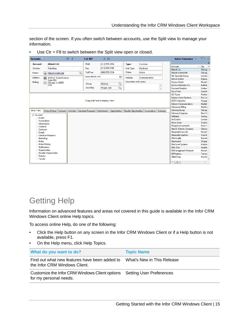section of the screen. If you often switch between accounts, use the Split view to manage your information.

• Use Ctr + F8 to switch between the Split view open or closed.

| Accounts <sup>Q</sup> |                                                                           | $\mathbb{N}$ | $\blacktriangleleft$ |   | 1 of 987       | $\triangleright$ $\triangleright$ 1 |               |                                        |                |         | Active Campaigns ▽       | 留っ 動    |                |
|-----------------------|---------------------------------------------------------------------------|--------------|----------------------|---|----------------|-------------------------------------|---------------|----------------------------------------|----------------|---------|--------------------------|---------|----------------|
| Account:              | Abbott Ltd.                                                               |              |                      |   | Main:          | (312) 555-7854                      |               | Type:                                  | Customer       |         |                          |         | ×              |
| Division:             | Subsidiary                                                                |              |                      |   | Fax:           | (312) 555-7545                      |               | Sub-Type:                              | Hardware       |         | Account                  | / City  | $\overline{a}$ |
|                       |                                                                           |              |                      |   |                |                                     |               |                                        |                |         | Abbott Ltd.              | Chicag  |                |
| Parent:               | Abbott WorldWide<br>$\mathbf{g}$                                          |              |                      | Q | Toll Free:     | (800) 555-1234                      |               | Status:                                | Active         |         | Abbott WorldWide         | Chicag  |                |
| Address:              | $\bullet$<br>4206 W. Grand Avenue                                         |              |                      |   | www.abbott.com |                                     | ۵             | Industry:                              | Communications |         | Abi Specialty Group      | Londor  |                |
|                       | Suite 900                                                                 |              |                      |   |                |                                     |               |                                        |                |         | Above Marine             | Haywa   |                |
| Mailing               | E<br>Chicago, IL 60651                                                    |              |                      |   | Owner:         | Midwest                             | Q             | Description of Business                |                |         | Access Gmbh              | Munich  |                |
|                       | <b>USA</b>                                                                |              |                      |   |                |                                     |               |                                        |                |         | Access Industries Co.    | Gaither |                |
|                       |                                                                           |              |                      |   | Acct.Mgr.      | Hogan, Lee                          | $\mathcal{Q}$ |                                        |                |         | Account Graphics         | Linden  |                |
|                       |                                                                           |              |                      |   |                |                                     |               |                                        |                |         | AccuTech                 | Londor  |                |
|                       |                                                                           |              |                      |   |                |                                     |               |                                        |                |         | AD Foods                 | Portlan |                |
|                       |                                                                           |              |                      |   |                |                                     |               |                                        |                |         | Adams Waste Systems      | Fort La |                |
|                       |                                                                           |              |                      |   |                | Drag a tab here to display a view   |               |                                        |                |         | <b>ADCS Industries</b>   | Singap  |                |
|                       |                                                                           |              |                      |   |                |                                     |               |                                        |                |         | Adicom Communications    | Madrid  |                |
|                       |                                                                           |              |                      |   |                |                                     |               |                                        |                |         | Advanced Billing         | Markha  |                |
| More Tabs             | Notes/History   Contacts   Activities   Literature Requests   Attachments |              |                      |   |                |                                     |               | Opportunities   Reseller Opportunities | Associations   | Summary | Advising Group           | Chicag  |                |
| <b>⊟-Account</b>      |                                                                           |              |                      |   |                |                                     |               |                                        |                |         | Advisors Company         | New Yr  |                |
| Assets                |                                                                           |              |                      |   |                |                                     |               |                                        |                |         | Affiliated               | Sydney  |                |
| Associations          |                                                                           |              |                      |   |                |                                     |               |                                        |                |         | Air Estates              | Londor  |                |
| Attachments           |                                                                           |              |                      |   |                |                                     |               |                                        |                |         | Akorn Lines              | Scottsc |                |
| Contacts              |                                                                           |              |                      |   |                |                                     |               |                                        |                |         | Alcopter Investments     | Rock I: |                |
| Contracts             |                                                                           |              |                      |   |                |                                     |               |                                        |                |         | Alex D. Electric Company | Clacka  |                |
| Details               |                                                                           |              |                      |   |                |                                     |               |                                        |                |         | Alexander Kan Ltd.       | Munich  |                |
|                       | Literature Requests                                                       |              |                      |   |                |                                     |               |                                        |                |         | Alexander Leathers       | Washir  |                |
| Marketing             |                                                                           |              |                      |   |                |                                     |               |                                        |                |         | Alfa Quality             | Barcelo |                |
| Notes                 |                                                                           |              |                      |   |                |                                     |               |                                        |                |         | Algonguins               | Singap  |                |
|                       | Notes/History                                                             |              |                      |   |                |                                     |               |                                        |                |         | Alia Asset Systems       | Hudsor  |                |
| Notifications         |                                                                           |              |                      |   |                |                                     |               |                                        |                |         | All in One               | Seattle |                |
|                       | <b>Opportunities</b>                                                      |              |                      |   |                |                                     |               |                                        |                |         | All Management Products  | Munich  |                |
| Returns               | Reseller Opportunities                                                    |              |                      |   |                |                                     |               |                                        |                |         | All Realtors             | Trentor |                |
| Tickets               |                                                                           |              |                      |   |                |                                     |               |                                        |                |         | Allied Corp.             | Housto  |                |
|                       |                                                                           |              |                      |   |                |                                     |               |                                        |                |         | $\overline{ }$<br>$-10$  |         |                |

## <span id="page-14-0"></span>Getting Help

Information on advanced features and areas not covered in this guide is available in the Infor CRM Windows Client online Help topics.

To access online Help, do one of the following:

- Click the Help button on any screen in the Infor CRM Windows Client or if a Help button is not available, press F1.
- On the Help menu, click Help Topics.

| What do you want to do?                                                                           | <b>Topic Name</b>          |  |  |  |  |  |
|---------------------------------------------------------------------------------------------------|----------------------------|--|--|--|--|--|
| Find out what new features have been added to<br>the Infor CRM Windows Client.                    | What's New in This Release |  |  |  |  |  |
| Customize the Infor CRM Windows Client options Setting User Preferences<br>for my personal needs. |                            |  |  |  |  |  |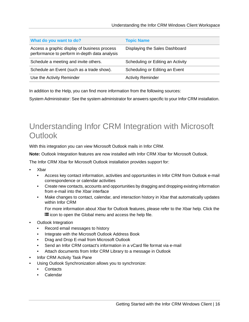| What do you want to do?                                                                       | <b>Topic Name</b>                 |
|-----------------------------------------------------------------------------------------------|-----------------------------------|
| Access a graphic display of business process<br>performance to perform in-depth data analysis | Displaying the Sales Dashboard    |
| Schedule a meeting and invite others.                                                         | Scheduling or Editing an Activity |
| Schedule an Event (such as a trade show).                                                     | Scheduling or Editing an Event    |
| Use the Activity Reminder                                                                     | <b>Activity Reminder</b>          |

In addition to the Help, you can find more information from the following sources:

System Administrator: See the system administrator for answers specific to your Infor CRM installation.

## <span id="page-15-0"></span>Understanding Infor CRM Integration with Microsoft **Outlook**

With this integration you can view Microsoft Outlook mails in Infor CRM.

**Note:** Outlook Integration features are now installed with Infor CRM Xbar for Microsoft Outlook.

The Infor CRM Xbar for Microsoft Outlook installation provides support for:

- Xbar
	- Access key contact information, activities and opportunities in Infor CRM from Outlook e-mail correspondence or calendar activities
	- Create new contacts, accounts and opportunities by dragging and dropping existing information from e-mail into the Xbar interface
	- Make changes to contact, calendar, and interaction history in Xbar that automatically updates within Infor CRM

For more information about Xbar for Outlook features, please refer to the Xbar help. Click the icon to open the Global menu and access the help file.

- Outlook Integration
	- Record email messages to history
	- Integrate with the Microsoft Outlook Address Book
	- Drag and Drop E-mail from Microsoft Outlook
	- Send an Infor CRM contact's information in a vCard file format via e-mail
	- Attach documents from Infor CRM Library to a message in Outlook
- Infor CRM Activity Task Pane
- Using Outlook Synchronization allows you to synchronize:
	- Contacts
	- Calendar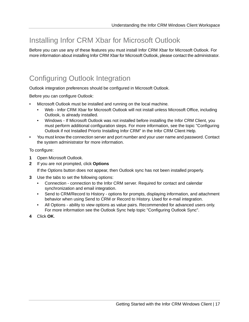### <span id="page-16-0"></span>Installing Infor CRM Xbar for Microsoft Outlook

Before you can use any of these features you must install Infor CRM Xbar for Microsoft Outlook. For more information about installing Infor CRM Xbar for Microsoft Outlook, please contact the administrator.

#### <span id="page-16-1"></span>Configuring Outlook Integration

Outlook integration preferences should be configured in Microsoft Outlook.

Before you can configure Outlook:

- Microsoft Outlook must be installed and running on the local machine.
	- Web Infor CRM Xbar for Microsoft Outlook will not install unless Microsoft Office, including Outlook, is already installed.
	- Windows If Microsoft Outlook was not installed before installing the Infor CRM Client, you must perform additional configuration steps. For more information, see the topic "Configuring Outlook if not Installed Priorto Installing Infor CRM" in the Infor CRM Client Help.
- You must know the connection server and port number and your user name and password. Contact the system administrator for more information.

To configure:

- **1** Open Microsoft Outlook.
- **2** If you are not prompted, click **Options**

If the Options button does not appear, then Outlook sync has not been installed properly.

- **3** Use the tabs to set the following options:
	- Connection connection to the Infor CRM server. Required for contact and calendar synchronization and email integration.
	- Send to CRM/Record to History options for prompts, displaying information, and attachment behavior when using Send to CRM or Record to History. Used for e-mail integration.
	- All Options ability to view options as value pairs. Recommended for advanced users only. For more information see the Outlook Sync help topic "Configuring Outlook Sync".
- **4** Click **OK**.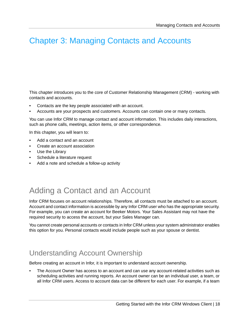## <span id="page-17-0"></span>Chapter 3: Managing Contacts and Accounts

This chapter introduces you to the core of Customer Relationship Management (CRM) - working with contacts and accounts.

- Contacts are the key people associated with an account.
- Accounts are your prospects and customers. Accounts can contain one or many contacts.

You can use Infor CRM to manage contact and account information. This includes daily interactions, such as phone calls, meetings, action items, or other correspondence.

In this chapter, you will learn to:

- Add a contact and an account
- Create an account association
- Use the Library
- Schedule a literature request
- <span id="page-17-1"></span>• Add a note and schedule a follow-up activity

# Adding a Contact and an Account

Infor CRM focuses on account relationships. Therefore, all contacts must be attached to an account. Account and contact information is accessible by any Infor CRM user who has the appropriate security. For example, you can create an account for Beeker Motors. Your Sales Assistant may not have the required security to access the account, but your Sales Manager can.

<span id="page-17-2"></span>You cannot create personal accounts or contacts in Infor CRM unless your system administrator enables this option for you. Personal contacts would include people such as your spouse or dentist.

#### Understanding Account Ownership

Before creating an account in Infor, it is important to understand account ownership.

• The Account Owner has access to an account and can use any account-related activities such as scheduling activities and running reports. An account owner can be an individual user, a team, or all Infor CRM users. Access to account data can be different for each user. For example, if a team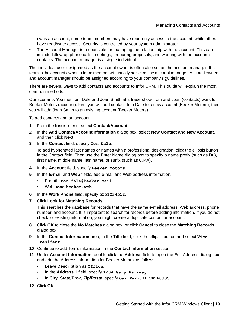owns an account, some team members may have read-only access to the account, while others have read/write access. Security is controlled by your system administrator.

• The Account Manager is responsible for managing the relationship with the account. This can include follow-up phone calls, meetings, preparing proposals, and working with the account's contacts. The account manager is a single individual.

The individual user designated as the account owner is often also set as the account manager. If a team is the account owner, a team member will usually be set as the account manager. Account owners and account manager should be assigned according to your company's guidelines.

There are several ways to add contacts and accounts to Infor CRM. This guide will explain the most common methods.

Our scenario: You met Tom Dale and Joan Smith at a trade show. Tom and Joan (contacts) work for Beeker Motors (account). First you will add contact Tom Dale to a new account (Beeker Motors); then you will add Joan Smith to an existing account (Beeker Motors).

To add contacts and an account:

- **1** From the **Insert** menu, select **Contact/Account**.
- **2** In the **Add Contact/AccountInformation** dialog box, select **New Contact and New Account**, and then click **Next**.
- **3** In the **Contact** field, specify **Tom Dale**.

To add hyphenated last names or names with a professional designation, click the ellipsis button in the Contact field. Then use the Enter Name dialog box to specify a name prefix (such as Dr.), first name, middle name, last name, or suffix (such as C.P.A).

- **4** In the **Account** field, specify **Beeker Motors**.
- **5** In the **E-mail** and **Web** fields, add e-mail and Web address information.
	- E-mail **tom.dale@beeker.mail**
	- Web: **www.beeker.web**
- **6** In the **Work Phone** field, specify **5551234512**.
- **7** Click **Look for Matching Records**.

This searches the database for records that have the same e-mail address, Web address, phone number, and account. It is important to search for records before adding information. If you do not check for existing information, you might create a duplicate contact or account.

- **8** Click **OK** to close the **No Matches** dialog box, or click **Cancel** to close the **Matching Records** dialog box.
- **9** In the **Contact Information** area, in the **Title** field, click the ellipsis button and select **Vice President**.
- **10** Continue to add Tom's information in the **Contact Information** section.
- **11** Under **Account Information**, double-click the **Address** field to open the Edit Address dialog box and add the Address information for Beeker Motors, as follows:
	- Leave **Description** as **Office**.
	- In the **Address 1** field, specify **1234 Gary Parkway**.
	- In **City**, **State/Prov**, **Zip/Postal** specify **Oak Park**, **IL** and **60305**
- **12** Click **OK**.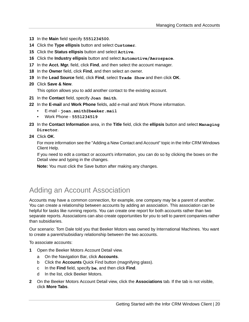- **13** In the **Main** field specify **5551234500**.
- **14** Click the **Type ellipsis** button and select **Customer**.
- **15** Click the **Status ellipsis** button and select **Active**.
- **16** Click the **Industry ellipsis** button and select **Automotive/Aerospace**.
- **17** In the **Acct. Mgr.** field, click **Find**, and then select the account manager.
- **18** In the **Owner** field, click **Find**, and then select an owner.
- **19** In the **Lead Source** field, click **Find**, select **Trade Show** and then click **OK**.
- **20** Click **Save & New**.

This option allows you to add another contact to the existing account.

- **21** In the **Contact** field, specify **Joan Smith**.
- **22** In the **E-mail** and **Work Phone** fields, add e-mail and Work Phone information.
	- E-mail **joan.smith@beeker.mail**
	- Work Phone **5551234519**
- **23** In the **Contact Information** area, in the **Title** field, click the **ellipsis** button and select **Managing Director**.
- **24** Click **OK**.

For more information see the "Adding a New Contact and Account" topic in the Infor CRM Windows Client Help.

If you need to edit a contact or account's information, you can do so by clicking the boxes on the Detail view and typing in the changes.

<span id="page-19-0"></span>**Note:** You must click the Save button after making any changes.

#### Adding an Account Association

Accounts may have a common connection, for example, one company may be a parent of another. You can create a relationship between accounts by adding an association. This association can be helpful for tasks like running reports. You can create one report for both accounts rather than two separate reports. Associations can also create opportunities for you to sell to parent companies rather than subsidiaries.

Our scenario: Tom Dale told you that Beeker Motors was owned by International Machines. You want to create a parent/subsidiary relationship between the two accounts.

To associate accounts:

- **1** Open the Beeker Motors Account Detail view.
	- a On the Navigation Bar, click **Accounts**.
	- b Click the **Accounts** Quick Find button (magnifying glass).
	- c In the **Find** field, specify **be**, and then click **Find**.
	- d In the list, click Beeker Motors.
- **2** On the Beeker Motors Account Detail view, click the **Associations** tab. If the tab is not visible, click **More Tabs**.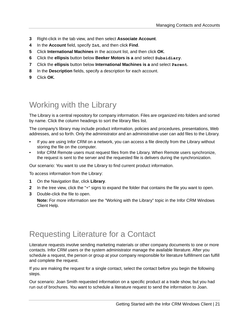- **3** Right-click in the tab view, and then select **Associate Account**.
- **4** In the **Account** field, specify **Int**, and then click **Find**.
- **5** Click **International Machines** in the account list, and then click **OK**.
- **6** Click the **ellipsis** button below **Beeker Motors is a** and select **Subsidiary**.
- **7** Click the **ellipsis** button below **International Machines is a** and select **Parent**.
- **8** In the **Description** fields, specify a description for each account.
- **9** Click **OK**.

## <span id="page-20-0"></span>Working with the Library

The Library is a central repository for company information. Files are organized into folders and sorted by name. Click the column headings to sort the library files list.

The company's library may include product information, policies and procedures, presentations, Web addresses, and so forth. Only the administrator and an administrative user can add files to the Library.

- If you are using Infor CRM on a network, you can access a file directly from the Library without storing the file on the computer.
- Infor CRM Remote users must request files from the Library. When Remote users synchronize, the request is sent to the server and the requested file is delivers during the synchronization.

Our scenario: You want to use the Library to find current product information.

To access information from the Library:

- **1** On the Navigation Bar, click **Library**.
- **2** In the tree view, click the "+" signs to expand the folder that contains the file you want to open.
- **3** Double-click the file to open.

<span id="page-20-1"></span>**Note:** For more information see the "Working with the Library" topic in the Infor CRM Windows Client Help.

#### Requesting Literature for a Contact

Literature requests involve sending marketing materials or other company documents to one or more contacts. Infor CRM users or the system administrator manage the available literature. After you schedule a request, the person or group at your company responsible for literature fulfillment can fulfill and complete the request.

If you are making the request for a single contact, select the contact before you begin the following steps.

Our scenario: Joan Smith requested information on a specific product at a trade show, but you had run out of brochures. You want to schedule a literature request to send the information to Joan.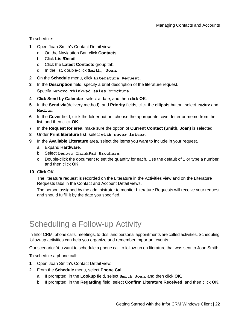To schedule:

- **1** Open Joan Smith's Contact Detail view.
	- a On the Navigation Bar, click **Contacts**.
	- b Click **List/Detail**.
	- c Click the **Latest Contacts** group tab.
	- d In the list, double-click **Smith, Joan**.
- **2** On the **Schedule** menu, click **Literature Request**.
- **3** In the **Description** field, specify a brief description of the literature request. Specify **Lenovo ThinkPad sales brochure**.
- **4** Click **Send by Calendar**, select a date, and then click **OK**.
- **5** In the **Send via**(delivery method), and **Priority** fields, click the **ellipsis** button, select **FedEx** and **Medium**.
- **6** In the **Cover** field, click the folder button, choose the appropriate cover letter or memo from the list, and then click **OK**.
- **7** In the **Request for** area, make sure the option of **Current Contact (Smith, Joan)** is selected.
- **8** Under **Print literature list**, select **with cover letter**.
- **9** In the **Available Literature** area, select the items you want to include in your request.
	- a Expand **Hardware**.
	- b Select **Lenovo ThinkPad Brochure**.
	- c Double-click the document to set the quantity for each. Use the default of 1 or type a number, and then click **OK**.
- **10** Click **OK**.

The literature request is recorded on the Literature in the Activities view and on the Literature Requests tabs in the Contact and Account Detail views.

<span id="page-21-0"></span>The person assigned by the administrator to monitor Literature Requests will receive your request and should fulfill it by the date you specified.

## Scheduling a Follow-up Activity

In Infor CRM, phone calls, meetings, to-dos, and personal appointments are called activities. Scheduling follow-up activities can help you organize and remember important events.

Our scenario: You want to schedule a phone call to follow-up on literature that was sent to Joan Smith.

To schedule a phone call:

- **1** Open Joan Smith's Contact Detail view.
- **2** From the **Schedule** menu, select **Phone Call**.
	- a If prompted, in the **Lookup** field, select **Smith**, **Joan**, and then click **OK**.
	- b If prompted, in the **Regarding** field, select **Confirm Literature Received**, and then click **OK**.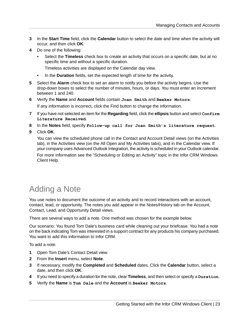- **3** In the **Start Time** field, click the **Calendar** button to select the date and time when the activity will occur, and then click **OK**.
- **4** Do one of the following:
	- Select the **Timeless** check box to create an activity that occurs on a specific date, but at no specific time and without a specific duration.

Timeless activities are displayed on the Calendar day view.

- In the **Duration** fields, set the expected length of time for the activity.
- **5** Select the **Alarm** check box to set an alarm to notify you before the activity begins. Use the drop-down boxes to select the number of minutes, hours, or days. You must enter an increment between 1 and 240.
- **6** Verify the **Name** and **Account** fields contain **Joan Smith** and **Beeker Motors**. If any information is incorrect, click the Find button to change the information.
- **7** If you have not selected an item for the **Regarding** field, click the **ellipsis** button and select **Confirm Literature Received**.
- **8** In the **Notes** field, specify **Follow-up call for Joan Smith's literature request**.
- **9** Click **OK**.

You can view the scheduled phone call in the Contact and Account Detail views (on the Activities tab), in the Activities view (on the All Open and My Activities tabs), and in the Calendar view. If your company uses Advanced Outlook Integration, the activity is scheduled in your Outlook calendar.

<span id="page-22-0"></span>For more information see the "Scheduling or Editing an Activity" topic in the Infor CRM Windows Client Help.

# Adding a Note

You use notes to document the outcome of an activity and to record interactions with an account, contact, lead, or opportunity. The notes you add appear in the Notes/History tab on the Account, Contact, Lead, and Opportunity Detail views.

There are several ways to add a note. One method was chosen for the example below.

Our scenario: You found Tom Dale's business card while cleaning out your briefcase. You had a note on the back indicating Tom was interested in a support contract for any products his company purchased. You want to add this information to Infor CRM.

To add a note:

- **1** Open Tom Dale's Contact Detail view.
- **2** From the **Insert** menu, select **Note**.
- **3** If necessary, modify the **Completed** and **Scheduled** dates. Click the **Calendar** button, select a date, and then click **OK**.
- **4** If you need to specify a duration for the note, clear **Timeless**, and then select or specify a **Duration**.
- **5** Verify the **Name** is **Tom Dale** and the **Account** is **Beeker Motors**.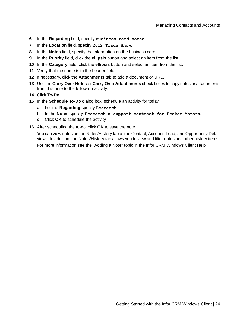- **6** In the **Regarding** field, specify **Business card notes**.
- **7** In the **Location** field, specify **2012 Trade Show**.
- **8** In the **Notes** field, specify the information on the business card.
- **9** In the **Priority** field, click the **ellipsis** button and select an item from the list.
- **10** In the **Category** field, click the **ellipsis** button and select an item from the list.
- **11** Verify that the name is in the Leader field.
- **12** If necessary, click the **Attachments** tab to add a document or URL.
- **13** Use the **Carry Over Notes** or **Carry Over Attachments** check boxes to copy notes or attachments from this note to the follow-up activity.
- **14** Click **To-Do**.
- **15** In the **Schedule To-Do** dialog box, schedule an activity for today.
	- a For the **Regarding** specify **Research**.
	- b In the **Notes** specify, **Research a support contract for Beeker Motors**.
	- c Click **OK** to schedule the activity.
- **16** After scheduling the to-do, click **OK** to save the note.

You can view notes on the Notes/History tab of the Contact, Account, Lead, and Opportunity Detail views. In addition, the Notes/History tab allows you to view and filter notes and other history items. For more information see the "Adding a Note" topic in the Infor CRM Windows Client Help.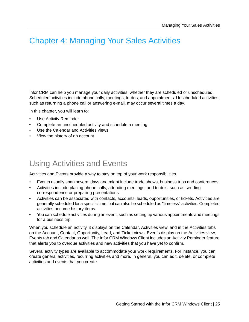## <span id="page-24-0"></span>Chapter 4: Managing Your Sales Activities

Infor CRM can help you manage your daily activities, whether they are scheduled or unscheduled. Scheduled activities include phone calls, meetings, to-dos, and appointments. Unscheduled activities, such as returning a phone call or answering e-mail, may occur several times a day.

In this chapter, you will learn to:

- Use Activity Reminder
- Complete an unscheduled activity and schedule a meeting
- Use the Calendar and Activities views
- <span id="page-24-1"></span>• View the history of an account

# Using Activities and Events

Activities and Events provide a way to stay on top of your work responsibilities.

- Events usually span several days and might include trade shows, business trips and conferences.
- Activities include placing phone calls, attending meetings, and to do's, such as sending correspondence or preparing presentations.
- Activities can be associated with contacts, accounts, leads, opportunities, or tickets. Activities are generally scheduled for a specific time, but can also be scheduled as "timeless" activities. Completed activities become history items.
- You can schedule activities during an event, such as setting up various appointments and meetings for a business trip.

When you schedule an activity, it displays on the Calendar, Activities view, and in the Activities tabs on the Account, Contact, Opportunity, Lead, and Ticket views. Events display on the Activities view, Events tab and Calendar as well. The Infor CRM Windows Client includes an Activity Reminder feature that alerts you to overdue activities and new activities that you have yet to confirm.

Several activity types are available to accommodate your work requirements. For instance, you can create general activities, recurring activities and more. In general, you can edit, delete, or complete activities and events that you create.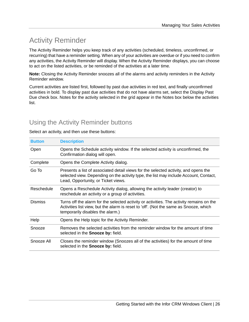## <span id="page-25-0"></span>Activity Reminder

The Activity Reminder helps you keep track of any activities (scheduled, timeless, unconfirmed, or recurring) that have a reminder setting. When any of your activities are overdue or if you need to confirm any activities, the Activity Reminder will display. When the Activity Reminder displays, you can choose to act on the listed activities, or be reminded of the activities at a later time.

**Note:** Closing the Activity Reminder snoozes all of the alarms and activity reminders in the Activity Reminder window.

Current activities are listed first, followed by past due activities in red text, and finally unconfirmed activities in bold. To display past due activities that do not have alarms set, select the Display Past Due check box. Notes for the activity selected in the grid appear in the Notes box below the activities list.

#### Using the Activity Reminder buttons

#### Select an activity, and then use these buttons:

| <b>Button</b>  | <b>Description</b>                                                                                                                                                                                                    |
|----------------|-----------------------------------------------------------------------------------------------------------------------------------------------------------------------------------------------------------------------|
| Open           | Opens the Schedule activity window. If the selected activity is unconfirmed, the<br>Confirmation dialog will open.                                                                                                    |
| Complete       | Opens the Complete Activity dialog.                                                                                                                                                                                   |
| Go To          | Presents a list of associated detail views for the selected activity, and opens the<br>selected view. Depending on the activity type, the list may include Account, Contact,<br>Lead, Opportunity, or Ticket views.   |
| Reschedule     | Opens a Reschedule Activity dialog, allowing the activity leader (creator) to<br>reschedule an activity or a group of activities.                                                                                     |
| <b>Dismiss</b> | Turns off the alarm for the selected activity or activities. The activity remains on the<br>Activities list view, but the alarm is reset to 'off'. (Not the same as Snooze, which<br>temporarily disables the alarm.) |
| Help           | Opens the Help topic for the Activity Reminder.                                                                                                                                                                       |
| Snooze         | Removes the selected activities from the reminder window for the amount of time<br>selected in the Snooze by: field.                                                                                                  |
| Snooze All     | Closes the reminder window (Snoozes all of the activities) for the amount of time<br>selected in the <b>Snooze by:</b> field.                                                                                         |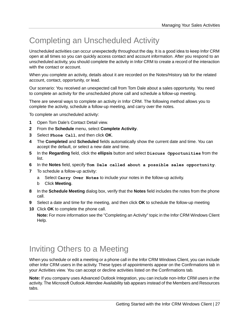# <span id="page-26-0"></span>Completing an Unscheduled Activity

Unscheduled activities can occur unexpectedly throughout the day. It is a good idea to keep Infor CRM open at all times so you can quickly access contact and account information. After you respond to an unscheduled activity, you should complete the activity in Infor CRM to create a record of the interaction with the contact or account.

When you complete an activity, details about it are recorded on the Notes/History tab for the related account, contact, opportunity, or lead.

Our scenario: You received an unexpected call from Tom Dale about a sales opportunity. You need to complete an activity for the unscheduled phone call and schedule a follow-up meeting.

There are several ways to complete an activity in Infor CRM. The following method allows you to complete the activity, schedule a follow-up meeting, and carry over the notes.

To complete an unscheduled activity:

- **1** Open Tom Dale's Contact Detail view.
- **2** From the **Schedule** menu, select **Complete Activity**.
- **3** Select **Phone Call**, and then click **OK**.
- **4** The **Completed** and **Scheduled** fields automatically show the current date and time. You can accept the default, or select a new date and time.
- **5** In the **Regarding** field, click the **ellipsis** button and select **Discuss Opportunities** from the list.
- **6** In the **Notes** field, specify **Tom Dale called about a possible sales opportunity**.
- **7** To schedule a follow-up activity:
	- a Select **Carry Over Notes** to include your notes in the follow-up activity.
	- b Click **Meeting**.
- **8** In the **Schedule Meeting** dialog box, verify that the **Notes** field includes the notes from the phone call.
- **9** Select a date and time for the meeting, and then click **OK** to schedule the follow-up meeting
- **10** Click **OK** to complete the phone call.

<span id="page-26-1"></span>**Note:** For more information see the "Completing an Activity" topic in the Infor CRM Windows Client Help.

#### Inviting Others to a Meeting

When you schedule or edit a meeting or a phone call in the Infor CRM Windows Client, you can include other Infor CRM users in the activity. These types of appointments appear on the Confirmations tab in your Activities view. You can accept or decline activities listed on the Confirmations tab.

**Note:** If you company uses Advanced Outlook Integration, you can include non-Infor CRM users in the activity. The Microsoft Outlook Attendee Availability tab appears instead of the Members and Resources tabs.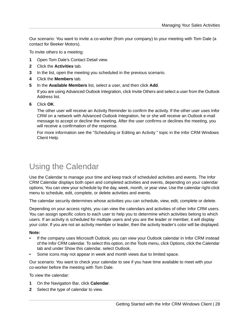Our scenario: You want to invite a co-worker (from your company) to your meeting with Tom Dale (a contact for Beeker Motors).

To invite others to a meeting:

- **1** Open Tom Dale's Contact Detail view.
- **2** Click the **Activities** tab.
- **3** In the list, open the meeting you scheduled in the previous scenario.
- **4** Click the **Members** tab.
- **5** In the **Available Members** list, select a user, and then click **Add**. If you are using Advanced Outlook Integration, click Invite Others and select a user from the Outlook Address list.
- **6** Click **OK**.

The other user will receive an Activity Reminder to confirm the activity. If the other user uses Infor CRM on a network with Advanced Outlook Integration, he or she will receive an Outlook e-mail message to accept or decline the meeting. After the user confirms or declines the meeting, you will receive a confirmation of the response.

For more information see the "Scheduling or Editing an Activity " topic in the Infor CRM Windows Client Help.

# <span id="page-27-0"></span>Using the Calendar

Use the Calendar to manage your time and keep track of scheduled activities and events. The Infor CRM Calendar displays both open and completed activities and events, depending on your calendar options. You can view your schedule by the day, week, month, or year view. Use the calendar right-click menu to schedule, edit, complete, or delete activities and events.

The calendar security determines whose activities you can schedule, view, edit, complete or delete.

Depending on your access rights, you can view the calendars and activities of other Infor CRM users. You can assign specific colors to each user to help you to determine which activities belong to which users. If an activity is scheduled for multiple users and you are the leader or member, it will display your color. If you are not an activity member or leader, then the activity leader's color will be displayed.

#### **Note:**

- If the company uses Microsoft Outlook, you can view your Outlook calendar in Infor CRM instead of the Infor CRM calendar. To select this option, on the Tools menu, click Options, click the Calendar tab and under Show this calendar, select Outlook.
- Some icons may not appear in week and month views due to limited space.

Our scenario: You want to check your calendar to see if you have time available to meet with your co-worker before the meeting with Tom Dale.

To view the calendar:

- **1** On the Navigation Bar, click **Calendar**.
- **2** Select the type of calendar to view.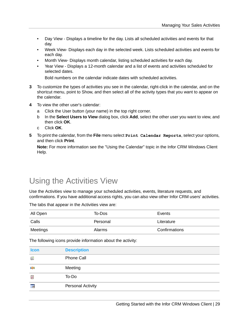- Day View Displays a timeline for the day. Lists all scheduled activities and events for that day.
- Week View- Displays each day in the selected week. Lists scheduled activities and events for each day.
- Month View- Displays month calendar, listing scheduled activities for each day.
- Year View Displays a 12-month calendar and a list of events and activities scheduled for selected dates.

Bold numbers on the calendar indicate dates with scheduled activities.

- **3** To customize the types of activities you see in the calendar, right-click in the calendar, and on the shortcut menu, point to Show, and then select all of the activity types that you want to appear on the calendar.
- **4** To view the other user's calendar:
	- a Click the User button (your name) in the top right corner.
	- b In the **Select Users to View** dialog box, click **Add**, select the other user you want to view, and then click **OK**.
	- c Click **OK**.
- **5** To print the calendar, from the **File** menu select **Print Calendar Reports**, select your options, and then click **Print**.

<span id="page-28-0"></span>**Note:** For more information see the "Using the Calendar" topic in the Infor CRM Windows Client Help.

#### Using the Activities View

Use the Activities view to manage your scheduled activities, events, literature requests, and confirmations. If you have additional access rights, you can also view other Infor CRM users' activities.

The tabs that appear in the Activities view are:

| All Open | To-Dos        | Events        |
|----------|---------------|---------------|
| Calls    | Personal      | Literature    |
| Meetings | <b>Alarms</b> | Confirmations |

The following icons provide information about the activity:

| <b>Icon</b> | <b>Description</b> |
|-------------|--------------------|
| (iii)       | Phone Call         |
| kŞ.         | Meeting            |
| <b>K</b>    | To-Do              |
| İŔ          | Personal Activity  |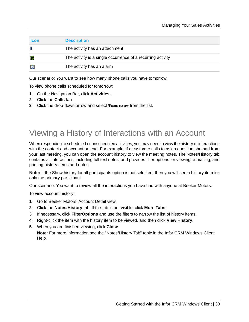| <b>Icon</b> | <b>Description</b>                                          |
|-------------|-------------------------------------------------------------|
|             | The activity has an attachment                              |
| đ.          | The activity is a single occurrence of a recurring activity |
| O           | The activity has an alarm                                   |

Our scenario: You want to see how many phone calls you have tomorrow.

To view phone calls scheduled for tomorrow:

- **1** On the Navigation Bar, click **Activities**.
- **2** Click the **Calls** tab.
- **3** Click the drop-down arrow and select **Tomorrow** from the list.

### <span id="page-29-0"></span>Viewing a History of Interactions with an Account

When responding to scheduled or unscheduled activities, you may need to view the history of interactions with the contact and account or lead. For example, if a customer calls to ask a question she had from your last meeting, you can open the account history to view the meeting notes. The Notes/History tab contains all interactions, including full text notes, and provides filter options for viewing, e-mailing, and printing history items and notes.

**Note:** If the Show history for all participants option is not selected, then you will see a history item for only the primary participant.

Our scenario: You want to review all the interactions you have had with anyone at Beeker Motors.

To view account history:

- **1** Go to Beeker Motors' Account Detail view.
- **2** Click the **Notes/History** tab. If the tab is not visible, click **More Tabs**.
- **3** If necessary, click **FilterOptions** and use the filters to narrow the list of history items.
- **4** Right-click the item with the history item to be viewed, and then click **View History**.
- **5** When you are finished viewing, click **Close**.

**Note:** For more information see the "Notes/History Tab" topic in the Infor CRM Windows Client Help.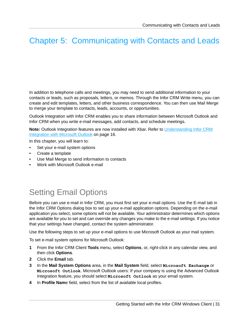# <span id="page-30-0"></span>Chapter 5: Communicating with Contacts and Leads

In addition to telephone calls and meetings, you may need to send additional information to your contacts or leads, such as proposals, letters, or memos. Through the Infor CRM Write menu, you can create and edit templates, letters, and other business correspondence. You can then use Mail Merge to merge your template to contacts, leads, accounts, or opportunities.

Outlook Integration with Infor CRM enables you to share information between Microsoft Outlook and Infor CRM when you write e-mail messages, add contacts, and schedule meetings.

**Note:** Outlook Integration features are now installed with Xbar. Refer to [Understanding](#page-15-0) Infor CRM [Integration](#page-15-0) with Microsoft Outlook on page 16.

In this chapter, you will learn to:

- Set your e-mail system options
- Create a template
- Use Mail Merge to send information to contacts
- <span id="page-30-1"></span>• Work with Microsoft Outlook e-mail

# Setting Email Options

Before you can use e-mail in Infor CRM, you must first set your e-mail options. Use the E-mail tab in the Infor CRM Options dialog box to set up your e-mail application options. Depending on the e-mail application you select, some options will not be available. Your administrator determines which options are available for you to set and can override any changes you make to the e-mail settings. If you notice that your settings have changed, contact the system administrator.

Use the following steps to set up your e-mail options to use Microsoft Outlook as your mail system.

To set e-mail system options for Microsoft Outlook:

- **1** From the Infor CRM Client **Tools** menu, select **Options**, or, right-click in any calendar view, and then click **Options**.
- **2** Click the **Email** tab.
- **3** In the **Mail System Options** area, in the **Mail System** field, select **Microsoft Exchange** or **Microsoft Outlook**. Microsoft Outlook users: If your company is using the Advanced Outlook Integration feature, you should select **Microsoft Outlook** as your email system.
- **4** In **Profile Nam**e field, select from the list of available local profiles.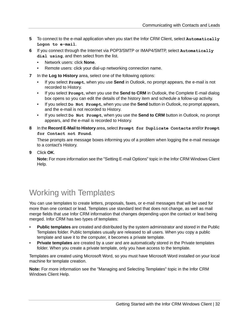- **5** To connect to the e-mail application when you start the Infor CRM Client, select **Automatically Logon to e-mail**.
- **6** If you connect through the Internet via POP3/SMTP or IMAP4/SMTP, select **Automatically dial using**, and then select from the list.
	- Network users: click **None**.
	- Remote users: click your dial-up networking connection name.
- **7** In the **Log to History** area, select one of the following options:
	- If you select **Prompt**, when you use **Send** in Outlook, no prompt appears, the e-mail is not recorded to History.
	- If you select **Prompt**, when you use the **Send to CRM** in Outlook, the Complete E-mail dialog box opens so you can edit the details of the history item and schedule a follow-up activity.
	- If you select **Do Not Prompt**, when you use the **Send** button in Outlook, no prompt appears, and the e-mail is not recorded to History.
	- If you select **Do Not Prompt**, when you use the **Send to CRM** button in Outlook, no prompt appears, and the e-mail is recorded to History.
- **8** In the **Record E-Mail to History** area, select **Prompt for Duplicate Contacts** and/or **Prompt for Contact not Found**.

These prompts are message boxes informing you of a problem when logging the e-mail message to a contact's History.

**9** Click **OK**.

<span id="page-31-0"></span>**Note:** For more information see the "Setting E-mail Options" topic in the Infor CRM Windows Client Help.

## Working with Templates

You can use templates to create letters, proposals, faxes, or e-mail messages that will be used for more than one contact or lead. Templates use standard text that does not change, as well as mail merge fields that use Infor CRM information that changes depending upon the contact or lead being merged. Infor CRM has two types of templates:

- **Public templates** are created and distributed by the system administrator and stored in the Public Templates folder. Public templates usually are released to all users. When you copy a public template and save it to the computer, it becomes a private template.
- **Private templates** are created by a user and are automatically stored in the Private templates folder. When you create a private template, only you have access to the template.

Templates are created using Microsoft Word, so you must have Microsoft Word installed on your local machine for template creation.

**Note:** For more information see the "Managing and Selecting Templates" topic in the Infor CRM Windows Client Help.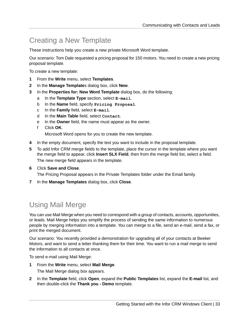### <span id="page-32-0"></span>Creating a New Template

These instructions help you create a new private Microsoft Word template.

Our scenario: Tom Dale requested a pricing proposal for 150 motors. You need to create a new pricing proposal template.

To create a new template:

- **1** From the **Write** menu, select **Templates**.
- **2** In the **Manage Template**s dialog box, click **New**.
- **3** In the **Properties for: New Word Template** dialog box, do the following:
	- a In the **Template Type** section, select **E-mail**.
	- b In the **Name** field, specify **Pricing Proposal**.
	- c In the **Family** field, select **E-mail**.
	- d In the **Main Table** field, select **Contact**.
	- e In the **Owner** field, the name must appear as the owner.
	- f Click **OK**.

Microsoft Word opens for you to create the new template.

- **4** In the empty document, specify the text you want to include in the proposal template.
- **5** To add Infor CRM merge fields to the template, place the cursor in the template where you want the merge field to appear, click **Insert SLX Field**, then from the merge field list, select a field. The new merge field appears in the template.
- **6** Click **Save and Close**.

The Pricing Proposal appears in the Private Templates folder under the Email family.

<span id="page-32-1"></span>**7** In the **Manage Templates** dialog box, click **Close**.

#### Using Mail Merge

You can use Mail Merge when you need to correspond with a group of contacts, accounts, opportunities, or leads. Mail Merge helps you simplify the process of sending the same information to numerous people by merging information into a template. You can merge to a file, send an e-mail, send a fax, or print the merged document.

Our scenario: You recently provided a demonstration for upgrading all of your contacts at Beeker Motors, and want to send a letter thanking them for their time. You want to run a mail merge to send the information to all contacts at once.

To send e-mail using Mail Merge:

- **1** From the **Write** menu, select **Mail Merge**. The Mail Merge dialog box appears.
- **2** In the **Template** field, click **Open**, expand the **Public Templates** list, expand the **E-mail** list, and then double-click the **Thank you - Demo** template.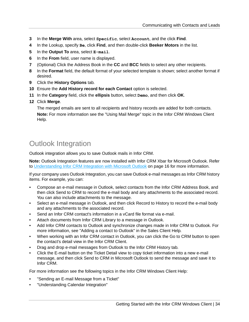- **3** In the **Merge With** area, select **Specific**, select **Account**, and the click **Find**.
- **4** In the Lookup, specify **Be**, click **Find**, and then double-click **Beeker Motors** in the list.
- **5** In the **Output To** area, select **E-mail**.
- **6** In the **From** field, user name is displayed.
- **7** (Optional) Click the Address Book in the **CC** and **BCC** fields to select any other recipients.
- **8** In the **Format** field, the default format of your selected template is shown; select another format if desired.
- **9** Click the **History Options** tab.
- **10** Ensure the **Add History record for each Contact** option is selected.
- **11** In the **Category** field, click the **ellipsis** button, select **Demo**, and then click **OK**.

#### **12** Click **Merge**.

The merged emails are sent to all recipients and history records are added for both contacts. **Note:** For more information see the "Using Mail Merge" topic in the Infor CRM Windows Client Help.

#### <span id="page-33-0"></span>Outlook Integration

Outlook integration allows you to save Outlook mails in Infor CRM.

**Note:** Outlook Integration features are now installed with Infor CRM Xbar for Microsoft Outlook. Refer to [Understanding](#page-15-0) Infor CRM Integration with Microsoft Outlook on page 16 for more information.

If your company uses Outlook Integration, you can save Outlook e-mail messages as Infor CRM history items. For example, you can:

- Compose an e-mail message in Outlook, select contacts from the Infor CRM Address Book, and then click Send to CRM to record the e-mail body and any attachments to the associated record. You can also include attachments to the message.
- Select an e-mail message in Outlook, and then click Record to History to record the e-mail body and any attachments to the associated record.
- Send an Infor CRM contact's information in a vCard file format via e-mail.
- Attach documents from Infor CRM Library to a message in Outlook.
- Add Infor CRM contacts to Outlook and synchronize changes made in Infor CRM to Outlook. For more information, see "Adding a contact to Outlook" in the Sales Client Help.
- When working with an Infor CRM contact in Outlook, you can click the Go to CRM button to open the contact's detail view in the Infor CRM Client.
- Drag and drop e-mail messages from Outlook to the Infor CRM History tab.
- Click the E-mail button on the Ticket Detail view to copy ticket information into a new e-mail message, and then click Send to CRM in Microsoft Outlook to send the message and save it to Infor CRM.

For more information see the following topics in the Infor CRM Windows Client Help:

- "Sending an E-mail Message from a Ticket"
- "Understanding Calendar Integration"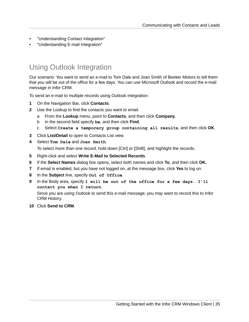- "Understanding Contact Integration"
- "Understanding E-mail Integration"

#### <span id="page-34-0"></span>Using Outlook Integration

Our scenario: You want to send an e-mail to Tom Dale and Joan Smith of Beeker Motors to tell them that you will be out of the office for a few days. You can use Microsoft Outlook and record the e-mail message in Infor CRM.

To send an e-mail to multiple records using Outlook Integration:

- **1** On the Navigation Bar, click **Contacts**.
- **2** Use the Lookup to find the contacts you want to email.
	- a From the **Lookup** menu, point to **Contacts**, and then click **Company**.
	- b In the second field specify **be**, and then click **Find**.
	- c Select **Create a temporary group containing all results**, and then click **OK**.
- **3** Click **List/Detail** to open to Contacts List view.
- **4** Select **Tom Dale** and **Joan Smith**.

To select more than one record, hold down [Ctrl] or [Shift], and highlight the records.

- **5** Right-click and select **Write E-Mail to Selected Records**.
- **6** If the **Select Names** dialog box opens, select both names and click **To**, and then click **OK.**
- **7** If email is enabled, but you have not logged on, at the message box, click **Yes** to log on.
- **8** In the **Subject** line, specify **Out of Office**.
- **9** In the Body area, specify **I will be out of the office for a few days. I'll contact you when I return**.

Since you are using Outlook to send this e-mail message, you may want to record this to Infor CRM History.

**10** Click **Send to CRM**.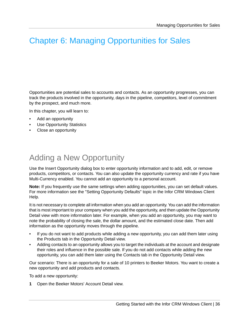## <span id="page-35-0"></span>Chapter 6: Managing Opportunities for Sales

Opportunities are potential sales to accounts and contacts. As an opportunity progresses, you can track the products involved in the opportunity, days in the pipeline, competitors, level of commitment by the prospect, and much more.

In this chapter, you will learn to:

- Add an opportunity
- Use Opportunity Statistics
- <span id="page-35-1"></span>• Close an opportunity

### Adding a New Opportunity

Use the Insert Opportunity dialog box to enter opportunity information and to add, edit, or remove products, competitors, or contacts. You can also update the opportunity currency and rate if you have Multi-Currency enabled. You cannot add an opportunity to a personal account.

**Note:** If you frequently use the same settings when adding opportunities, you can set default values. For more information see the "Setting Opportunity Defaults" topic in the Infor CRM Windows Client Help.

It is not necessary to complete all information when you add an opportunity. You can add the information that is most important to your company when you add the opportunity, and then update the Opportunity Detail view with more information later. For example, when you add an opportunity, you may want to note the probability of closing the sale, the dollar amount, and the estimated close date. Then add information as the opportunity moves through the pipeline.

- If you do not want to add products while adding a new opportunity, you can add them later using the Products tab in the Opportunity Detail view.
- Adding contacts to an opportunity allows you to target the individuals at the account and designate their roles and influence in the possible sale. If you do not add contacts while adding the new opportunity, you can add them later using the Contacts tab in the Opportunity Detail view.

Our scenario: There is an opportunity for a sale of 10 printers to Beeker Motors. You want to create a new opportunity and add products and contacts.

To add a new opportunity:

**1** Open the Beeker Motors' Account Detail view.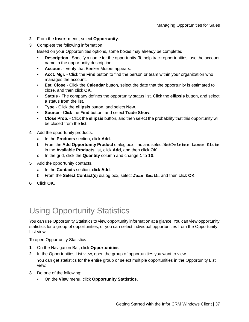- **2** From the **Insert** menu, select **Opportunity**.
- **3** Complete the following information:

Based on your Opportunities options, some boxes may already be completed.

- **Description** Specify a name for the opportunity. To help track opportunities, use the account name in the opportunity description.
- **Account** Verify that Beeker Motors appears.
- **Acct. Mgr.** Click the **Find** button to find the person or team within your organization who manages the account.
- **Est. Close** Click the **Calendar** button, select the date that the opportunity is estimated to close, and then click **OK**.
- **Status** The company defines the opportunity status list. Click the **ellipsis** button, and select a status from the list.
- **Type** Click the **ellipsis** button, and select **New**.
- **Source** Click the **Find** button, and select **Trade Show**.
- **Close Prob.** Click the **ellipsis** button, and then select the probability that this opportunity will be closed from the list.
- **4** Add the opportunity products.
	- a In the **Products** section, click **Add**.
	- b From the **Add Opportunity Product** dialog box, find and select **NetPrinter Laser Elite** in the **Available Products** list, click **Add**, and then click **OK**.
	- c In the grid, click the **Quantity** column and change **1** to **10**.
- **5** Add the opportunity contacts.
	- a In the **Contacts** section, click **Add**.
	- b From the **Select Contact(s)** dialog box, select **Joan Smith**, and then click **OK**.
- <span id="page-36-0"></span>**6** Click **OK**.

## Using Opportunity Statistics

You can use Opportunity Statistics to view opportunity information at a glance. You can view opportunity statistics for a group of opportunities, or you can select individual opportunities from the Opportunity List view.

To open Opportunity Statistics:

- **1** On the Navigation Bar, click **Opportunities**.
- **2** In the Opportunities List view, open the group of opportunities you want to view. You can get statistics for the entire group or select multiple opportunities in the Opportunity List view.
- **3** Do one of the following:
	- On the **View** menu, click **Opportunity Statistics**.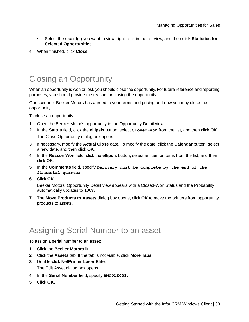- Select the record(s) you want to view, right-click in the list view, and then click **Statistics for Selected Opportunities**.
- **4** When finished, click **Close**.

## <span id="page-37-0"></span>Closing an Opportunity

When an opportunity is won or lost, you should close the opportunity. For future reference and reporting purposes, you should provide the reason for closing the opportunity.

Our scenario: Beeker Motors has agreed to your terms and pricing and now you may close the opportunity.

To close an opportunity:

- **1** Open the Beeker Motor's opportunity in the Opportunity Detail view.
- **2** In the **Status** field, click the **ellipsis** button, select **Closed-Won** from the list, and then click **OK**. The Close Opportunity dialog box opens.
- **3** If necessary, modify the **Actual Close** date. To modify the date, click the **Calendar** button, select a new date, and then click **OK**.
- **4** In the **Reason Won** field, click the **ellipsis** button, select an item or items from the list, and then click **OK**.
- **5** In the **Comments** field, specify **Delivery must be complete by the end of the financial quarter**.
- **6** Click **OK**.

Beeker Motors' Opportunity Detail view appears with a Closed-Won Status and the Probability automatically updates to 100%.

<span id="page-37-1"></span>**7** The **Move Products to Assets** dialog box opens, click **OK** to move the printers from opportunity products to assets.

#### Assigning Serial Number to an asset

To assign a serial number to an asset:

- **1** Click the **Beeker Motors** link.
- **2** Click the **Assets** tab. If the tab is not visible, click **More Tabs**.
- **3** Double-click **NetPrinter Laser Elite**. The Edit Asset dialog box opens.
- **4** In the **Serial Number** field, specify **BMNPLE001**.
- **5** Click **OK**.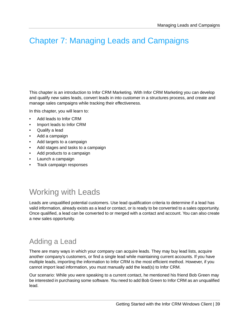## <span id="page-38-0"></span>Chapter 7: Managing Leads and Campaigns

This chapter is an introduction to Infor CRM Marketing. With Infor CRM Marketing you can develop and qualify new sales leads, convert leads in into customer in a structures process, and create and manage sales campaigns while tracking their effectiveness.

In this chapter, you will learn to:

- Add leads to Infor CRM
- Import leads to Infor CRM
- Qualify a lead
- Add a campaign
- Add targets to a campaign
- Add stages and tasks to a campaign
- Add products to a campaign
- Launch a campaign
- <span id="page-38-1"></span>• Track campaign responses

## Working with Leads

<span id="page-38-2"></span>Leads are unqualified potential customers. Use lead qualification criteria to determine if a lead has valid information, already exists as a lead or contact, or is ready to be converted to a sales opportunity. Once qualified, a lead can be converted to or merged with a contact and account. You can also create a new sales opportunity.

#### Adding a Lead

There are many ways in which your company can acquire leads. They may buy lead lists, acquire another company's customers, or find a single lead while maintaining current accounts. If you have multiple leads, importing the information to Infor CRM is the most efficient method. However, if you cannot import lead information, you must manually add the lead(s) to Infor CRM.

Our scenario: While you were speaking to a current contact, he mentioned his friend Bob Green may be interested in purchasing some software. You need to add Bob Green to Infor CRM as an unqualified lead.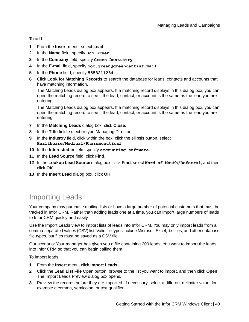To add:

- **1** From the **Insert** menu, select **Lead**.
- **2** In the **Name** field, specify **Bob Green**.
- **3** In the **Company** field, specify **Green Dentistry**.
- **4** In the **E-mail** field, specify **bob.green@greendentist.mail**.
- **5** In the **Phone** field, specify **5553211234**.
- **6** Click **Look for Matching Records** to search the database for leads, contacts and accounts that have matching information.

The Matching Leads dialog box appears. If a matching record displays in this dialog box, you can open the matching record to see if the lead, contact, or account is the same as the lead you are entering.

The Matching Leads dialog box appears. If a matching record displays in this dialog box, you can open the matching record to see if the lead, contact, or account is the same as the lead you are entering.

- **7** In the **Matching Leads** dialog box, click **Close**.
- **8** In the **Title** field, select or type Managing Director.
- **9** In the **Industry** field, click within the box, click the ellipsis button, select **Healthcare/Medical/Pharmaceutical**.
- **10** In the **Interested in** field, specify **accounting software**.
- **11** In the **Lead Source** field, click **Find**.
- **12** In the **Lookup Lead Source** dialog box, click **Find**, select **Word of Mouth/Referral**, and then click **OK**.
- <span id="page-39-0"></span>**13** In the **Insert Lead** dialog box, click **OK**.

#### Importing Leads

Your company may purchase mailing lists or have a large number of potential customers that must be tracked in Infor CRM. Rather than adding leads one at a time, you can import large numbers of leads to Infor CRM quickly and easily.

Use the Import Leads view to import lists of leads into Infor CRM. You may only import leads from a comma-separated values (CSV) list. Valid file types include Microsoft Excel, .txt files, and other database file types, but files must be saved as a CSV file.

Our scenario: Your manager has given you a file containing 200 leads. You want to import the leads into Infor CRM so that you can begin calling them.

To import leads:

- **1** From the **Insert** menu, click **Import Leads**.
- **2** Click the **Lead List File** Open button, browse to the list you want to import, and then click **Open**. The Import Leads Preview dialog box opens.
- **3** Preview the records before they are imported. If necessary, select a different delimiter value, for example a comma, semicolon, or text qualifier.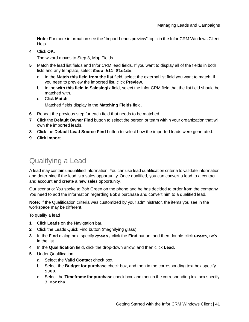**Note:** For more information see the "Import Leads preview" topic in the Infor CRM Windows Client Help.

**4** Click **OK**.

The wizard moves to Step 3, Map Fields.

- **5** Match the lead list fields and Infor CRM lead fields. If you want to display all of the fields in both lists and any template, select **Show All Fields**.
	- a In the **Match this field from the list** field, select the external list field you want to match. If you need to preview the imported list, click **Preview**.
	- b In the **with this field in Saleslogix** field, select the Infor CRM field that the list field should be matched with.
	- c Click **Match**. Matched fields display in the **Matching Fields** field.
- **6** Repeat the previous step for each field that needs to be matched.
- **7** Click the **Default Owner Find** button to select the person or team within your organization that will own the imported leads.
- **8** Click the **Default Lead Source Find** button to select how the imported leads were generated.
- <span id="page-40-0"></span>**9** Click **Import**.

#### Qualifying a Lead

A lead may contain unqualified information. You can use lead qualification criteria to validate information and determine if the lead is a sales opportunity. Once qualified, you can convert a lead to a contact and account and create a new sales opportunity.

Our scenario: You spoke to Bob Green on the phone and he has decided to order from the company. You need to add the information regarding Bob's purchase and convert him to a qualified lead.

**Note:** If the Qualification criteria was customized by your administrator, the items you see in the workspace may be different.

To qualify a lead

- **1** Click **Leads** on the Navigation bar.
- **2** Click the Leads Quick Find button (magnifying glass).
- **3** In the **Find** dialog box, specify **green,** click the **Find** button, and then double-click **Green**, **Bob** in the list.
- **4** In the **Qualification** field, click the drop-down arrow, and then click **Lead**.
- **5** Under Qualification:
	- a Select the **Valid Contact** check box.
	- b Select the **Budget for purchase** check box, and then in the corresponding text box specify **5000**.
	- c Select the **Timeframe for purchase** check box, and then in the corresponding text box specify **3 months**.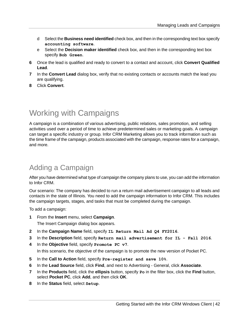- d Select the **Business need identified** check box, and then in the corresponding text box specify **accounting software**.
- e Select the **Decision maker identified** check box, and then in the corresponding text box specify **Bob Green**.
- **6** Once the lead is qualified and ready to convert to a contact and account, click **Convert Qualified Lead**.
- **7** In the **Convert Lead** dialog box, verify that no existing contacts or accounts match the lead you are qualifying.
- **8** Click **Convert**.

### <span id="page-41-0"></span>Working with Campaigns

A campaign is a combination of various advertising, public relations, sales promotion, and selling activities used over a period of time to achieve predetermined sales or marketing goals. A campaign can target a specific industry or group. Infor CRM Marketing allows you to track information such as the time frame of the campaign, products associated with the campaign, response rates for a campaign, and more.

#### <span id="page-41-1"></span>Adding a Campaign

After you have determined what type of campaign the company plans to use, you can add the information to Infor CRM.

Our scenario: The company has decided to run a return mail advertisement campaign to all leads and contacts in the state of Illinois. You need to add the campaign information to Infor CRM. This includes the campaign targets, stages, and tasks that must be completed during the campaign.

To add a campaign:

- **1** From the **Insert** menu, select **Campaign**. The Insert Campaign dialog box appears.
- **2** In the **Campaign Name** field, specify **IL Return Mail Ad Q4 FY2016**.
- **3** In the **Description** field, specify **Return mail advertisement for IL - Fall 2016**.
- **4** In the **Objective** field, specify **Promote PC v7**.

In this scenario, the objective of the campaign is to promote the new version of Pocket PC.

- **5** In the **Call to Action** field, specify **Pre-register and save 10%**.
- **6** In the **Lead Source** field, click **Find**, and next to Advertising General, click **Associate**.
- **7** In the **Products** field, click the **ellipsis** button, specify **Po** in the filter box, click the **Find** button, select **Pocket PC**, click **Add**, and then click **OK**.
- **8** In the **Status** field, select **Setup**.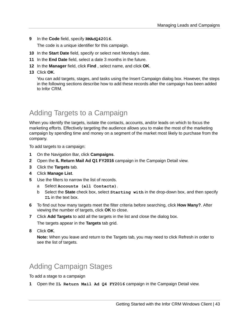**9** In the **Code** field, specify **RMAdQ42016**.

The code is a unique identifier for this campaign.

- **10** In the **Start Date** field, specify or select next Monday's date.
- **11** In the **End Date** field, select a date 3 months in the future.
- **12** In the **Manager** field, click **Find** , select name, and click **OK**.
- **13** Click **OK**.

You can add targets, stages, and tasks using the Insert Campaign dialog box. However, the steps in the following sections describe how to add these records after the campaign has been added to Infor CRM.

#### <span id="page-42-0"></span>Adding Targets to a Campaign

When you identify the targets, isolate the contacts, accounts, and/or leads on which to focus the marketing efforts. Effectively targeting the audience allows you to make the most of the marketing campaign by spending time and money on a segment of the market most likely to purchase from the company.

To add targets to a campaign:

- **1** On the Navigation Bar, click **Campaigns**.
- **2** Open the **IL Return Mail Ad Q1 FY2016** campaign in the Campaign Detail view.
- **3** Click the **Targets** tab.
- **4** Click **Manage List**.
- **5** Use the filters to narrow the list of records.
	- a Select **Accounts (all Contacts)**.
	- b Select the **State** check box, select **Starting with** in the drop-down box, and then specify **IL** in the text box.
- **6** To find out how many targets meet the filter criteria before searching, click **How Many?**. After viewing the number of targets, click **OK** to close.
- **7** Click **Add Targets** to add all the targets in the list and close the dialog box. The targets appear in the **Targets** tab grid.
- <span id="page-42-1"></span>**8** Click **OK**.

**Note:** When you leave and return to the Targets tab, you may need to click Refresh in order to see the list of targets.

#### Adding Campaign Stages

To add a stage to a campaign

**1** Open the **IL Return Mail Ad Q4 FY2016** campaign in the Campaign Detail view.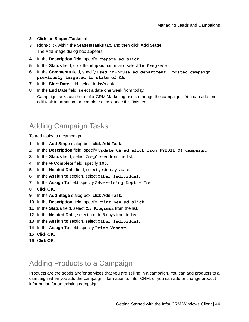- Click the **Stages/Tasks** tab.
- Right-click within the **Stages/Tasks** tab, and then click **Add Stage**. The Add Stage dialog box appears.
- In the **Description** field, specify **Prepare ad slick**.
- In the **Status** field, click the **ellipsis** button and select **In Progress**.
- In the **Comments** field, specify **Used in-house ad department. Updated campaign previously targeted to state of CA**.
- In the **Start Date** field, select today's date.
- In the **End Date** field, select a date one week from today. Campaign tasks can help Infor CRM Marketing users manage the campaigns. You can add and edit task information, or complete a task once it is finished.

#### <span id="page-43-0"></span>Adding Campaign Tasks

To add tasks to a campaign:

- In the **Add Stage** dialog box, click **Add Task**.
- In the **Description** field, specify **Update CA ad slick from FY2011 Q4 campaign**.
- In the **Status** field, select **Completed** from the list.
- In the **% Complete** field, specify **100**.
- In the **Needed Date** field, select yesterday's date.
- In the **Assign to** section, select **Other Individual**.
- In the **Assign To** field, specify **Advertising Dept - Tom**.
- Click **OK**.
- In the **Add Stage** dialog box, click **Add Task**.
- In the **Description** field, specify **Print new ad slick**.
- In the **Status** field, select **In Progress** from the list.
- In the **Needed Date**, select a date 6 days from today.
- In the **Assign to** section, select **Other Individual**.
- In the **Assign To** field, specify **Print Vendor**.
- <span id="page-43-1"></span>Click **OK**.
- Click **OK**.

#### Adding Products to a Campaign

Products are the goods and/or services that you are selling in a campaign. You can add products to a campaign when you add the campaign information to Infor CRM, or you can add or change product information for an existing campaign.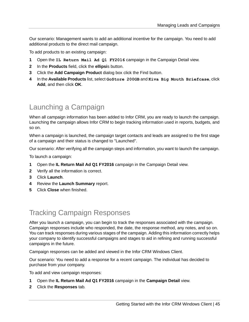Our scenario: Management wants to add an additional incentive for the campaign. You need to add additional products to the direct mail campaign.

To add products to an existing campaign:

- **1** Open the **IL Return Mail Ad Q1 FY2016** campaign in the Campaign Detail view.
- **2** In the **Products** field, click the **ellipsi**s button.
- **3** Click the **Add Campaign Product** dialog box click the Find button.
- **4** In the **Available Products** list, select **GoStore 200GB** and **Kiva Big Mouth Briefcase**, click **Add**, and then click **OK**.

#### <span id="page-44-0"></span>Launching a Campaign

When all campaign information has been added to Infor CRM, you are ready to launch the campaign. Launching the campaign allows Infor CRM to begin tracking information used in reports, budgets, and so on.

When a campaign is launched, the campaign target contacts and leads are assigned to the first stage of a campaign and their status is changed to "Launched".

Our scenario: After verifying all the campaign steps and information, you want to launch the campaign.

To launch a campaign:

- **1** Open the **IL Return Mail Ad Q1 FY2016** campaign in the Campaign Detail view.
- **2** Verify all the information is correct.
- **3** Click **Launch**.
- **4** Review the **Launch Summary** report.
- <span id="page-44-1"></span>**5** Click **Close** when finished.

#### Tracking Campaign Responses

After you launch a campaign, you can begin to track the responses associated with the campaign. Campaign responses include who responded, the date, the response method, any notes, and so on. You can track responses during various stages of the campaign. Adding this information correctly helps your company to identify successful campaigns and stages to aid in refining and running successful campaigns in the future.

Campaign responses can be added and viewed in the Infor CRM Windows Client.

Our scenario: You need to add a response for a recent campaign. The individual has decided to purchase from your company.

To add and view campaign responses:

- **1** Open the **IL Return Mail Ad Q1 FY2016** campaign in the **Campaign Detail** view.
- **2** Click the **Responses** tab.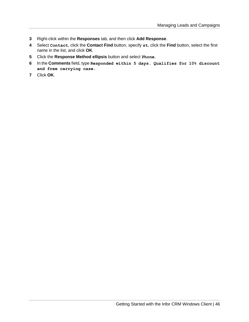- **3** Right-click within the **Responses** tab, and then click **Add Response**.
- **4** Select **Contact**, click the **Contact Find** button, specify **st**, click the **Find** button, select the first name in the list, and click **OK**.
- **5** Click the **Response Method ellipsis** button and select **Phone**.
- **6** In the **Comments** field, type **Responded within 5 days. Qualifies for 10% discount and free carrying case.**
- **7** Click **OK**.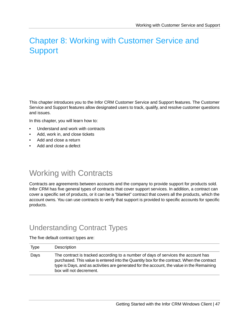## <span id="page-46-0"></span>Chapter 8: Working with Customer Service and **Support**

This chapter introduces you to the Infor CRM Customer Service and Support features. The Customer Service and Support features allow designated users to track, qualify, and resolve customer questions and issues.

In this chapter, you will learn how to:

- Understand and work with contracts
- Add, work in, and close tickets
- Add and close a return
- <span id="page-46-1"></span>• Add and close a defect

#### Working with Contracts

<span id="page-46-2"></span>Contracts are agreements between accounts and the company to provide support for products sold. Infor CRM has five general types of contracts that cover support services. In addition, a contract can cover a specific set of products, or it can be a "blanket" contract that covers all the products, which the account owns. You can use contracts to verify that support is provided to specific accounts for specific products.

#### Understanding Contract Types

The five default contract types are:

| <b>Type</b> | Description                                                                                                                                                                                                                                                                                             |
|-------------|---------------------------------------------------------------------------------------------------------------------------------------------------------------------------------------------------------------------------------------------------------------------------------------------------------|
| Days        | The contract is tracked according to a number of days of services the account has<br>purchased. This value is entered into the Quantity box for the contract. When the contract<br>type is Days, and as activities are generated for the account, the value in the Remaining<br>box will not decrement. |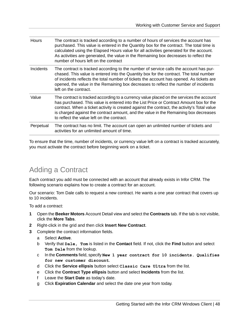| Hours     | The contract is tracked according to a number of hours of services the account has<br>purchased. This value is entered in the Quantity box for the contract. The total time is<br>calculated using the Elapsed Hours value for all activities generated for the account.<br>As activities are generated, the value in the Remaining box decreases to reflect the<br>number of hours left on the contract                  |
|-----------|---------------------------------------------------------------------------------------------------------------------------------------------------------------------------------------------------------------------------------------------------------------------------------------------------------------------------------------------------------------------------------------------------------------------------|
| Incidents | The contract is tracked according to the number of service calls the account has pur-<br>chased. This value is entered into the Quantity box for the contract. The total number<br>of incidents reflects the total number of tickets the account has opened. As tickets are<br>opened, the value in the Remaining box decreases to reflect the number of incidents<br>left on the contract.                               |
| Value     | The contract is tracked according to a currency value placed on the services the account<br>has purchased. This value is entered into the List Price or Contract Amount box for the<br>contract. When a ticket activity is created against the contract, the activity's Total value<br>is charged against the contract amount, and the value in the Remaining box decreases<br>to reflect the value left on the contract. |
| Perpetual | The contract has no limit. The account can open an unlimited number of tickets and<br>activities for an unlimited amount of time.                                                                                                                                                                                                                                                                                         |

<span id="page-47-0"></span>To ensure that the time, number of incidents, or currency value left on a contract is tracked accurately, you must activate the contract before beginning work on a ticket.

#### Adding a Contract

Each contract you add must be connected with an account that already exists in Infor CRM. The following scenario explains how to create a contract for an account.

Our scenario: Tom Dale calls to request a new contract. He wants a one year contract that covers up to 10 incidents.

To add a contract:

- **1** Open the **Beeker Motors** Account Detail view and select the **Contracts** tab. If the tab is not visible, click the **More Tabs**.
- **2** Right-click in the grid and then click **Insert New Contract**.
- **3** Complete the contract information fields.
	- a Select **Active**.
	- b Verify that **Dale, Tom** is listed in the **Contact** field. If not, click the **Find** button and select **Tom Dale** from the lookup.
	- c In the **Comments** field, specify **New 1 year contract for 10 incidents. Qualifies for new customer discount**.
	- d Click the **Service ellipsis** button select **Classic Care Ultra** from the list.
	- e Click the **Contract Type ellipsis** button and select **Incidents** from the list.
	- f Leave the **Start Date** as today's date.
	- g Click **Expiration Calendar** and select the date one year from today.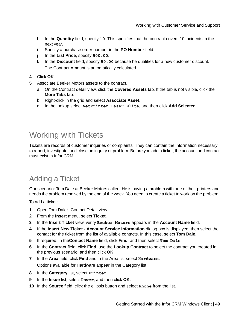- h In the **Quantity** field, specify **10**. This specifies that the contract covers 10 incidents in the next year.
- i Specify a purchase order number in the **PO Number** field.
- j In the **List Price**, specify **500.00**.
- k In the **Discount** field, specify **50.00** because he qualifies for a new customer discount. The Contract Amount is automatically calculated.
- **4** Click **OK**.
- **5** Associate Beeker Motors assets to the contract.
	- a On the Contract detail view, click the **Covered Assets** tab. If the tab is not visible, click the **More Tabs** tab.
	- b Right-click in the grid and select **Associate Asset**.
	- c In the lookup select **NetPrinter Laser Elite**, and then click **Add Selected**.

## <span id="page-48-0"></span>Working with Tickets

<span id="page-48-1"></span>Tickets are records of customer inquiries or complaints. They can contain the information necessary to report, investigate, and close an inquiry or problem. Before you add a ticket, the account and contact must exist in Infor CRM.

#### Adding a Ticket

Our scenario: Tom Dale at Beeker Motors called. He is having a problem with one of their printers and needs the problem resolved by the end of the week. You need to create a ticket to work on the problem.

To add a ticket:

- **1** Open Tom Dale's Contact Detail view.
- **2** From the **Insert** menu, select **Ticket**.
- **3** In the **Insert Ticket** view, verify **Beeker Motors** appears in the **Account Name** field.
- **4** If the **Insert New Ticket - Account Service Information** dialog box is displayed, then select the contact for the ticket from the list of available contacts. In this case, select **Tom Dale**.
- **5** If required, in the**Contact Name** field, click **Find**, and then select **Tom Dale**.
- **6** In the **Contract** field, click **Find**, use the **Lookup Contract** to select the contract you created in the previous scenario, and then click **OK**.
- **7** In the **Area** field, click **Find** and in the Area list select **Hardware**. Options available for Hardware appear in the Category list.
- **8** In the **Category** list, select **Printer**.
- **9** In the **Issue** list, select **Power**, and then click **OK**.
- **10** In the **Source** field, click the ellipsis button and select **Phone** from the list.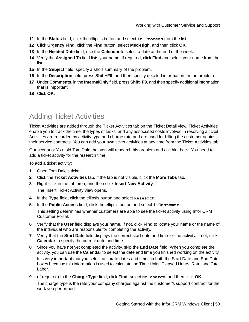- **11** In the **Status** field, click the ellipsis button and select **In Process** from the list.
- **12** Click **Urgency Find**, click the **Find** button, select **Med-High**, and then click **OK**.
- **13** In the **Needed Date** field, use the **Calendar** to select a date at the end of the week.
- **14** Verify the **Assigned To** field lists your name. If required, click **Find** and select your name from the list.
- **15** In the **Subject** field, specify a short summary of the problem.
- **16** In the **Description** field, press **Shift+F9**, and then specify detailed information for the problem.
- **17** Under **Comments**, in the **InternalOnly** field, press **Shift+F9**, and then specify additional information that is important
- <span id="page-49-0"></span>**18** Click **OK**.

#### Adding Ticket Activities

Ticket Activities are added through the Ticket Activities tab on the Ticket Detail view. Ticket Activities enable you to track the time, the types of tasks, and any associated costs involved in resolving a ticket. Activities are recorded by activity type and charge rate and are used for billing the customer against their service contracts. You can add your own ticket activities at any time from the Ticket Activities tab.

Our scenario: You told Tom Dale that you will research his problem and call him back. You need to add a ticket activity for the research time.

To add a ticket activity:

- **1** Open Tom Dale's ticket.
- **2** Click the **Ticket Activities** tab. If the tab is not visible, click the **More Tabs** tab.
- **3** Right-click in the tab area, and then click **Insert New Activity**.

The Insert Ticket Activity view opens.

- **4** In the **Type** field, click the ellipsis button and select **Research**.
- **5** In the **Public Access** field, click the ellipsis button and select **1-Customer**.

This setting determines whether customers are able to see the ticket activity using Infor CRM Customer Portal.

- **6** Verify that the **User** field displays your name. If not, click **Find** to locate your name or the name of the individual who are responsible for completing the activity.
- **7** Verify that the **Start Date** field displays the correct start date and time for the activity. If not, click **Calendar** to specify the correct date and time.
- **8** Since you have not yet completed the activity, skip the **End Date** field. When you complete the activity, you can use the **Calendar** to select the date and time you finished working on the activity. It is very important that you select accurate dates and times in both the Start Date and End Date boxes because this information is used to calculate the Time Units, Elapsed Hours, Rate, and Total Labor.
- **9** (If required) In the **Charge Type** field, click **Find**, select **No charge**, and then click **OK**. The charge type is the rate your company charges against the customer's support contract for the work you performed.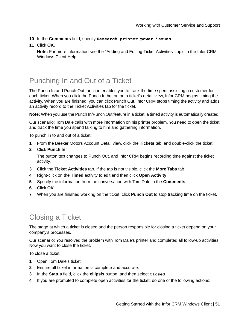**10** In the **Comments** field, specify **Research printer power issues**.

**11** Click **OK**.

**Note:** For more information see the "Adding and Editing Ticket Activities" topic in the Infor CRM Windows Client Help.

### <span id="page-50-0"></span>Punching In and Out of a Ticket

The Punch In and Punch Out function enables you to track the time spent assisting a customer for each ticket. When you click the Punch In button on a ticket's detail view, Infor CRM begins timing the activity. When you are finished, you can click Punch Out. Infor CRM stops timing the activity and adds an activity record to the Ticket Activities tab for the ticket.

**Note:** When you use the Punch In/Punch Out feature in a ticket, a timed activity is automatically created.

Our scenario: Tom Dale calls with more information on his printer problem. You need to open the ticket and track the time you spend talking to him and gathering information.

To punch in to and out of a ticket:

- **1** From the Beeker Motors Account Detail view, click the **Tickets** tab, and double-click the ticket.
- **2** Click **Punch In**.

The button text changes to Punch Out, and Infor CRM begins recording time against the ticket activity.

- **3** Click the **Ticket Activities** tab. If the tab is not visible, click the **More Tabs** tab
- **4** Right-click on the **Timed** activity to edit and then click **Open Activity**.
- **5** Specify the information from the conversation with Tom Dale in the **Comments**.
- **6** Click **OK**.
- <span id="page-50-1"></span>**7** When you are finished working on the ticket, click **Punch Out** to stop tracking time on the ticket.

#### Closing a Ticket

The stage at which a ticket is closed and the person responsible for closing a ticket depend on your company's processes.

Our scenario: You resolved the problem with Tom Dale's printer and completed all follow-up activities. Now you want to close the ticket.

To close a ticket:

- **1** Open Tom Dale's ticket.
- **2** Ensure all ticket information is complete and accurate.
- **3** In the **Status** field, click the **ellipsis** button, and then select **Closed**.
- **4** If you are prompted to complete open activities for the ticket, do one of the following actions: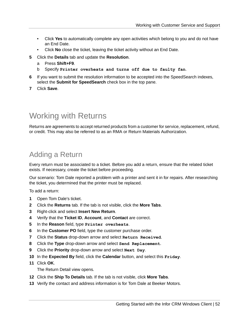- Click **Yes** to automatically complete any open activities which belong to you and do not have an End Date.
- Click **No** close the ticket, leaving the ticket activity without an End Date.
- **5** Click the **Details** tab and update the **Resolution**.
	- a Press **Shift+F9**.
	- b Specify **Printer overheats and turns off due to faulty fan**.
- **6** If you want to submit the resolution information to be accepted into the SpeedSearch indexes, select the **Submit for SpeedSearch** check box in the top pane.
- **7** Click **Save**.

#### <span id="page-51-0"></span>Working with Returns

<span id="page-51-1"></span>Returns are agreements to accept returned products from a customer for service, replacement, refund, or credit. This may also be referred to as an RMA or Return Materials Authorization.

#### Adding a Return

Every return must be associated to a ticket. Before you add a return, ensure that the related ticket exists. If necessary, create the ticket before proceeding.

Our scenario: Tom Dale reported a problem with a printer and sent it in for repairs. After researching the ticket, you determined that the printer must be replaced.

To add a return:

- **1** Open Tom Dale's ticket.
- **2** Click the **Returns** tab. If the tab is not visible, click the **More Tabs**.
- **3** Right-click and select **Insert New Return**.
- **4** Verify that the **Ticket ID**, **Account**, and **Contact** are correct.
- **5** In the **Reason** field, type **Printer overheats**.
- **6** In the **Customer PO** field, type the customer purchase order.
- **7** Click the **Status** drop-down arrow and select **Return Received**.
- **8** Click the **Type** drop-down arrow and select **Send Replacement**.
- **9** Click the **Priority** drop-down arrow and select **Next Day**.
- **10** In the **Expected By** field, click the **Calendar** button, and select this **Friday**.
- **11** Click **OK**.

The Return Detail view opens.

- **12** Click the **Ship To Details** tab. If the tab is not visible, click **More Tabs**.
- **13** Verify the contact and address information is for Tom Dale at Beeker Motors.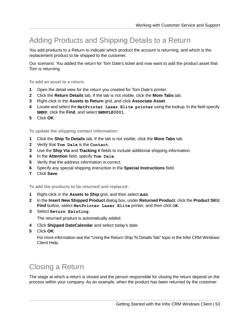#### <span id="page-52-0"></span>Adding Products and Shipping Details to a Return

You add products to a Return to indicate which product the account is returning, and which is the replacement product to be shipped to the customer.

Our scenario: You added the return for Tom Dale's ticket and now want to add the product asset that Tom is returning.

**To add an asset to a return:**

- **1** Open the detail view for the return you created for Tom Dale's printer.
- **2** Click the **Return Details** tab. If the tab is not visible, click the **More Tabs** tab.
- **3** Right-click in the **Assets to Return** grid, and click **Associate Asset**.
- **4** Locate and select the **NetPrinter Laser Elite printer** using the lookup. In the field specify **BMNP**, click the **Find**, and select **BMNPLE0001**.
- **5** Click **OK**.

**To update the shipping contact information:**

- **1** Click the **Ship To Details** tab. If the tab is not visible, click the **More Tabs** tab.
- **2** Verify that **Tom Dale** is the **Contact**.
- **3** Use the **Ship Via** and **Tracking #** fields to include additional shipping information.
- **4** In the **Attention** field, specify **Tom Dale**.
- **5** Verify that the address information is correct.
- **6** Specify any special shipping instruction in the **Special Instructions** field.
- **7** Click **Save**.

**To add the products to be returned and replaced:**

- **1** Right-click in the **Assets to Ship** grid, and then select **Add**.
- **2** In the **Insert New Shipped Product** dialog box, under **Returned Product**, click the **Product SKU Find** button, select **NetPrinter Laser Elite** printer, and then click **OK**.
- **3** Select **Return Existing**.

The returned product is automatically added.

- **4** Click **Shipped DateCalendar** and select today's date.
- <span id="page-52-1"></span>**5** Click **OK**.

For more information see the "Using the Return Ship To Details Tab" topic in the Infor CRM Windows Client Help.

#### Closing a Return

The stage at which a return is closed and the person responsible for closing the return depend on the process within your company. As an example, when the product has been returned by the customer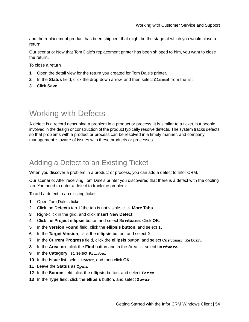and the replacement product has been shipped, that might be the stage at which you would close a return.

Our scenario: Now that Tom Dale's replacement printer has been shipped to him, you want to close the return.

To close a return

- **1** Open the detail view for the return you created for Tom Dale's printer.
- **2** In the **Status** field, click the drop-down arrow, and then select **Closed** from the list.
- **3** Click **Save**.

## <span id="page-53-0"></span>Working with Defects

A defect is a record describing a problem in a product or process. It is similar to a ticket, but people involved in the design or construction of the product typically resolve defects. The system tracks defects so that problems with a product or process can be resolved in a timely manner, and company management is aware of issues with these products or processes.

#### <span id="page-53-1"></span>Adding a Defect to an Existing Ticket

When you discover a problem in a product or process, you can add a defect to Infor CRM.

Our scenario: After receiving Tom Dale's printer you discovered that there is a defect with the cooling fan. You need to enter a defect to track the problem.

To add a defect to an existing ticket:

- **1** Open Tom Dale's ticket.
- **2** Click the **Defects** tab. If the tab is not visible, click **More Tabs**.
- **3** Right-click in the gird, and click **Insert New Defect**.
- **4** Click the **Project ellipsis** button and select **Hardware**. Click **OK**.
- **5** In the **Version Found** field, click the **ellipsis button**, and select **1**.
- **6** In the **Target Version**, click the **ellipsis** button, and select **2**.
- **7** In the **Current Progress** field, click the **ellipsis** button, and select **Customer Return**.
- **8** In the **Area** box, click the **Find** button and in the Area list select **Hardware.**
- **9** In the **Category** list, select **Printer**.
- **10** In the **Issue** list, select **Power**, and then click **OK**.
- **11** Leave the **Status** as **Open**.
- **12** In the **Source** field, click the **ellipsis** button, and select **Parts**.
- **13** In the **Type** field, click the **ellipsis** button, and select **Power.**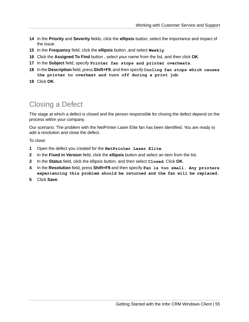- **14** In the **Priority** and **Severity** fields, click the **ellipsis** button, select the importance and impact of the issue.
- **15** In the **Frequency** field, click the **ellipsis** button ,and select **Weekly**.
- **16** Click the **Assigned To Find** button , select your name from the list, and then click **OK**.
- **17** In the **Subject** field, specify **Printer fan stops and printer overheats**.
- **18** In the **Description** field, press **Shift+F9**, and then specify **Cooling fan stops which causes the printer to overheat and turn off during a print job**.
- **19** Click **OK**.

#### <span id="page-54-0"></span>Closing a Defect

The stage at which a defect is closed and the person responsible for closing the defect depend on the process within your company.

Our scenario: The problem with the NetPrinter Laser Elite fan has been identified. You are ready to add a resolution and close the defect.

To close:

- **1** Open the defect you created for the **NetPrinter Laser Elite**.
- **2** In the **Fixed in Version** field, click the **ellipsis** button and select an item from the list.
- **3** In the **Status** field, click the ellipsis button, and then select **Closed**. Click **OK**.
- **4** In the **Resolution** field, press **Shift+F9** and then specify **Fan is too small. Any printers experiencing this problem should be returned and the fan will be replaced.**
- **5** Click **Save**.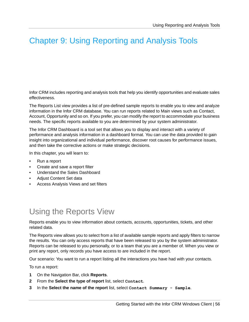# <span id="page-55-0"></span>Chapter 9: Using Reporting and Analysis Tools

Infor CRM includes reporting and analysis tools that help you identify opportunities and evaluate sales effectiveness.

The Reports List view provides a list of pre-defined sample reports to enable you to view and analyze information in the Infor CRM database. You can run reports related to Main views such as Contact, Account, Opportunity and so on. If you prefer, you can modify the report to accommodate your business needs. The specific reports available to you are determined by your system administrator.

The Infor CRM Dashboard is a tool set that allows you to display and interact with a variety of performance and analysis information in a dashboard format. You can use the data provided to gain insight into organizational and individual performance, discover root causes for performance issues, and then take the corrective actions or make strategic decisions.

In this chapter, you will learn to:

- Run a report
- Create and save a report filter
- Understand the Sales Dashboard
- Adjust Content Set data
- <span id="page-55-1"></span>• Access Analysis Views and set filters

## Using the Reports View

Reports enable you to view information about contacts, accounts, opportunities, tickets, and other related data.

The Reports view allows you to select from a list of available sample reports and apply filters to narrow the results. You can only access reports that have been released to you by the system administrator. Reports can be released to you personally, or to a team that you are a member of. When you view or print any report, only records you have access to are included in the report.

Our scenario: You want to run a report listing all the interactions you have had with your contacts.

To run a report:

- **1** On the Navigation Bar, click **Reports**.
- **2** From the **Select the type of report** list, select **Contact**.
- **3** In the **Select the name of the report** list, select **Contact Summary - Sample**.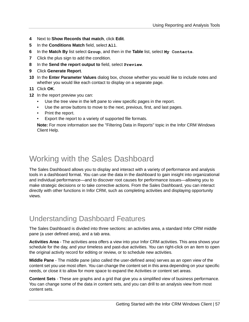- **4** Next to **Show Records that match**, click **Edit**.
- **5** In the **Conditions Match** field, select **All**.
- **6** In the **Match By** list select **Group**, and then in the **Table** list, select **My Contacts**.
- **7** Click the plus sign to add the condition.
- **8** In the **Send the report output to** field, select **Preview**.
- **9** Click **Generate Report**.
- **10** In the **Enter Parameter Values** dialog box, choose whether you would like to include notes and whether you would like each contact to display on a separate page.

**11** Click **OK**.

- **12** In the report preview you can:
	- Use the tree view in the left pane to view specific pages in the report.
	- Use the arrow buttons to move to the next, previous, first, and last pages.
	- Print the report.
	- Export the report to a variety of supported file formats.

**Note:** For more information see the "Filtering Data in Reports" topic in the Infor CRM Windows Client Help.

#### <span id="page-56-0"></span>Working with the Sales Dashboard

The Sales Dashboard allows you to display and interact with a variety of performance and analysis tools in a dashboard format. You can use the data in the dashboard to gain insight into organizational and individual performance—and to discover root causes for performance issues—allowing you to make strategic decisions or to take corrective actions. From the Sales Dashboard, you can interact directly with other functions in Infor CRM, such as completing activities and displaying opportunity views.

#### <span id="page-56-1"></span>Understanding Dashboard Features

The Sales Dashboard is divided into three sections: an activities area, a standard Infor CRM middle pane (a user defined area), and a tab area.

**Activities Area** - The activities area offers a view into your Infor CRM activities. This area shows your schedule for the day, and your timeless and past-due activities. You can right-click on an item to open the original activity record for editing or review, or to schedule new activities.

**Middle Pane** - The middle pane (also called the user-defined area) serves as an open view of the content set you use most often. You can change the content set in this area depending on your specific needs, or close it to allow for more space to expand the Activities or content set areas.

**Content Sets** - These are graphs and a grid that give you a simplified view of business performance. You can change some of the data in content sets, and you can drill to an analysis view from most content sets.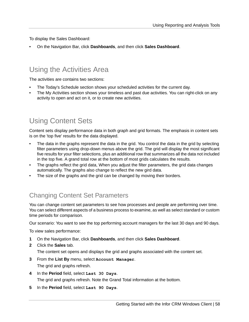To display the Sales Dashboard:

• On the Navigation Bar, click **Dashboards**, and then click **Sales Dashboard**.

#### <span id="page-57-0"></span>Using the Activities Area

The activities are contains two sections:

- The Today's Schedule section shows your scheduled activities for the current day.
- The My Activities section shows your timeless and past due activities. You can right-click on any activity to open and act on it, or to create new activities.

#### <span id="page-57-1"></span>Using Content Sets

Content sets display performance data in both graph and grid formats. The emphasis in content sets is on the 'top five' results for the data displayed.

- The data in the graphs represent the data in the grid. You control the data in the grid by selecting filter parameters using drop-down menus above the grid. The grid will display the most significant five results for your filter selections, plus an additional row that summarizes all the data not included in the top five. A grand total row at the bottom of most grids calculates the results.
- The graphs reflect the grid data, When you adjust the filter parameters, the grid data changes automatically. The graphs also change to reflect the new gird data.
- The size of the graphs and the grid can be changed by moving their borders.

#### Changing Content Set Parameters

You can change content set parameters to see how processes and people are performing over time. You can select different aspects of a business process to examine, as well as select standard or custom time periods for comparison.

Our scenario: You want to see the top performing account managers for the last 30 days and 90 days.

To view sales performance:

- **1** On the Navigation Bar, click **Dashboards**, and then click **Sales Dashboard**.
- **2** Click the **Sales** tab. The content set opens and displays the grid and graphs associated with the content set.
- **3** From the **List By** menu, select **Account Manager**. The grid and graphs refresh.
- **4** In the **Period** field, select **Last 30 Days**. The grid and graphs refresh. Note the Grand Total information at the bottom.
- **5** In the **Period** field, select **Last 90 Days**.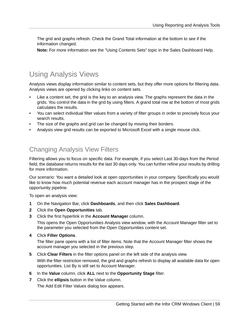The grid and graphs refresh. Check the Grand Total information at the bottom to see if the information changed.

**Note:** For more information see the "Using Contents Sets" topic in the Sales Dashboard Help.

#### <span id="page-58-0"></span>Using Analysis Views

Analysis views display information similar to content sets, but they offer more options for filtering data. Analysis views are opened by clicking links on content sets.

- Like a content set, the grid is the key to an analysis view. The graphs represent the data in the grids. You control the data in the grid by using filters. A grand total row at the bottom of most grids calculates the results.
- You can select individual filter values from a variety of filter groups in order to precisely focus your search results.
- The size of the graphs and grid can be changed by moving their borders.
- Analysis view grid results can be exported to Microsoft Excel with a single mouse click.

#### Changing Analysis View Filters

Filtering allows you to focus on specific data. For example, if you select Last 30-days from the Period field, the database returns results for the last 30 days only. You can further refine your results by drilling for more information.

Our scenario: You want a detailed look at open opportunities in your company. Specifically you would like to know how much potential revenue each account manager has in the prospect stage of the opportunity pipeline.

To open an analysis view:

- **1** On the Navigation Bar, click **Dashboards**, and then click **Sales Dashboard**.
- **2** Click the **Open Opportunities** tab.
- **3** Click the first hyperlink in the **Account Manager** column.

This opens the Open Opportunities Analysis view window, with the Account Manager filter set to the parameter you selected from the Open Opportunities content set.

**4** Click **Filter Options**.

The filter pane opens with a list of filter items. Note that the Account Manager filter shows the account manager you selected in the previous step.

**5** Click **Clear Filters** in the filter options panel on the left side of the analysis view.

With the filter restriction removed, the grid and graphs refresh to display all available data for open opportunities. List By is still set to Account Manager.

- **6** In the **Value** column, click **ALL** next to the **Opportunity Stage** filter.
- **7** Click the **ellipsis** button in the Value column. The Add Edit Filter Values dialog box appears.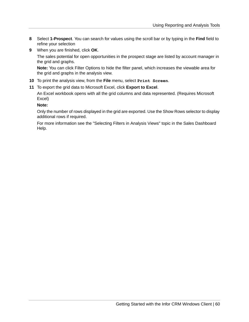- **8** Select **1-Prospect**. You can search for values using the scroll bar or by typing in the **Find** field to refine your selection
- **9** When you are finished, click **OK**.

The sales potential for open opportunities in the prospect stage are listed by account manager in the grid and graphs.

**Note:** You can click Filter Options to hide the filter panel, which increases the viewable area for the grid and graphs in the analysis view.

- **10** To print the analysis view, from the **File** menu, select **Print Screen**.
- **11** To export the grid data to Microsoft Excel, click **Export to Excel**.

An Excel workbook opens with all the grid columns and data represented. (Requires Microsoft Excel)

#### **Note:**

Only the number of rows displayed in the grid are exported. Use the Show Rows selector to display additional rows if required.

For more information see the "Selecting Filters in Analysis Views" topic in the Sales Dashboard Help.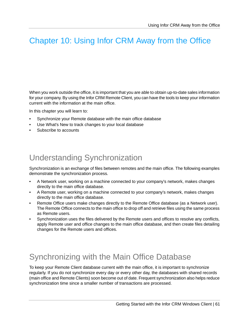# <span id="page-60-0"></span>Chapter 10: Using Infor CRM Away from the Office

When you work outside the office, it is important that you are able to obtain up-to-date sales information for your company. By using the Infor CRM Remote Client, you can have the tools to keep your information current with the information at the main office.

In this chapter you will learn to:

- Synchronize your Remote database with the main office database
- Use What's New to track changes to your local database
- <span id="page-60-1"></span>Subscribe to accounts

### Understanding Synchronization

Synchronization is an exchange of files between remotes and the main office. The following examples demonstrate the synchronization process.

- A Network user, working on a machine connected to your company's network, makes changes directly to the main office database.
- A Remote user, working on a machine connected to your company's network, makes changes directly to the main office database.
- Remote Office users make changes directly to the Remote Office database (as a Network user). The Remote Office connects to the main office to drop off and retrieve files using the same process as Remote users.
- <span id="page-60-2"></span>Synchronization uses the files delivered by the Remote users and offices to resolve any conflicts, apply Remote user and office changes to the main office database, and then create files detailing changes for the Remote users and offices.

## Synchronizing with the Main Office Database

To keep your Remote Client database current with the main office, it is important to synchronize regularly. If you do not synchronize every day or every other day, the databases with shared records (main office and Remote Clients) soon become out of date. Frequent synchronization also helps reduce synchronization time since a smaller number of transactions are processed.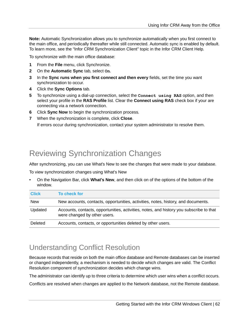**Note:** Automatic Synchronization allows you to synchronize automatically when you first connect to the main office, and periodically thereafter while still connected. Automatic sync is enabled by default. To learn more, see the "Infor CRM Synchronization Client" topic in the Infor CRM Client Help.

To synchronize with the main office database:

- **1** From the **File** menu, click Synchronize.
- **2** On the **Automatic Sync** tab, select **On**.
- **3** In the **Sync runs when you first connect and then every** fields, set the time you want synchronization to occur.
- **4** Click the **Sync Options** tab.
- **5** To synchronize using a dial-up connection, select the **Connect using RAS** option, and then select your profile in the **RAS Profile** list. Clear the **Connect using RAS** check box if your are connecting via a network connection.
- **6** Click **Sync Now** to begin the synchronization process.
- **7** When the synchronization is complete, click **Close**. If errors occur during synchronization, contact your system administrator to resolve them.

## <span id="page-61-0"></span>Reviewing Synchronization Changes

After synchronizing, you can use What's New to see the changes that were made to your database.

To view synchronization changes using What's New

• On the Navigation Bar, click **What's New**, and then click on of the options of the bottom of the window.

| <b>Click</b> | To check for                                                                                                            |
|--------------|-------------------------------------------------------------------------------------------------------------------------|
| <b>New</b>   | New accounts, contacts, opportunities, activities, notes, history, and documents.                                       |
| Updated      | Accounts, contacts, opportunities, activities, notes, and history you subscribe to that<br>were changed by other users. |
| Deleted      | Accounts, contacts, or opportunities deleted by other users.                                                            |

#### <span id="page-61-1"></span>Understanding Conflict Resolution

Because records that reside on both the main office database and Remote databases can be inserted or changed independently, a mechanism is needed to decide which changes are valid. The Conflict Resolution component of synchronization decides which change wins.

The administrator can identify up to three criteria to determine which user wins when a conflict occurs.

Conflicts are resolved when changes are applied to the Network database, not the Remote database.